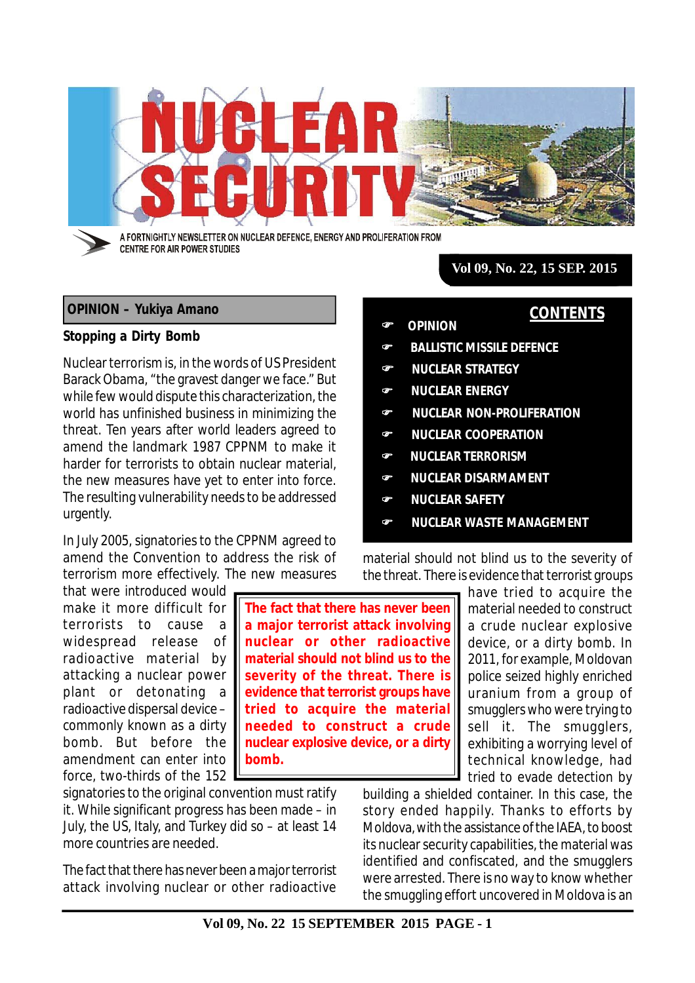

## **OPINION – Yukiya Amano**

### **Stopping a Dirty Bomb**

Nuclear terrorism is, in the words of US President Barack Obama, "the gravest danger we face." But while few would dispute this characterization, the world has unfinished business in minimizing the threat. Ten years after world leaders agreed to amend the landmark 1987 CPPNM to make it harder for terrorists to obtain nuclear material, the new measures have yet to enter into force. The resulting vulnerability needs to be addressed urgently.

In July 2005, signatories to the CPPNM agreed to amend the Convention to address the risk of terrorism more effectively. The new measures

that were introduced would make it more difficult for terrorists to cause a widespread release of radioactive material by attacking a nuclear power plant or detonating a radioactive dispersal device – commonly known as a dirty bomb. But before the amendment can enter into force, two-thirds of the 152

signatories to the original convention must ratify it. While significant progress has been made – in July, the US, Italy, and Turkey did so – at least 14 more countries are needed.

The fact that there has never been a major terrorist attack involving nuclear or other radioactive

**The fact that there has never been a major terrorist attack involving nuclear or other radioactive material should not blind us to the severity of the threat. There is evidence that terrorist groups have tried to acquire the material needed to construct a crude nuclear explosive device, or a dirty bomb.**

**Vol 09, No. 22, 15 SEP. 2015**

**CONTENTS**

- **OPINION**
	- **BALLISTIC MISSILE DEFENCE**
- **NUCLEAR STRATEGY**
- **NUCLEAR ENERGY**
- **NUCLEAR NON-PROLIFERATION**
- **NUCLEAR COOPERATION**
- **NUCLEAR TERRORISM**
- **NUCLEAR DISARMAMENT**
- **NUCLEAR SAFETY**
- **NUCLEAR WASTE MANAGEMENT**

material should not blind us to the severity of the threat. There is evidence that terrorist groups

> have tried to acquire the material needed to construct a crude nuclear explosive device, or a dirty bomb. In 2011, for example, Moldovan police seized highly enriched uranium from a group of smugglers who were trying to sell it. The smugglers, exhibiting a worrying level of technical knowledge, had tried to evade detection by

building a shielded container. In this case, the story ended happily. Thanks to efforts by Moldova, with the assistance of the IAEA, to boost its nuclear security capabilities, the material was identified and confiscated, and the smugglers were arrested. There is no way to know whether the smuggling effort uncovered in Moldova is an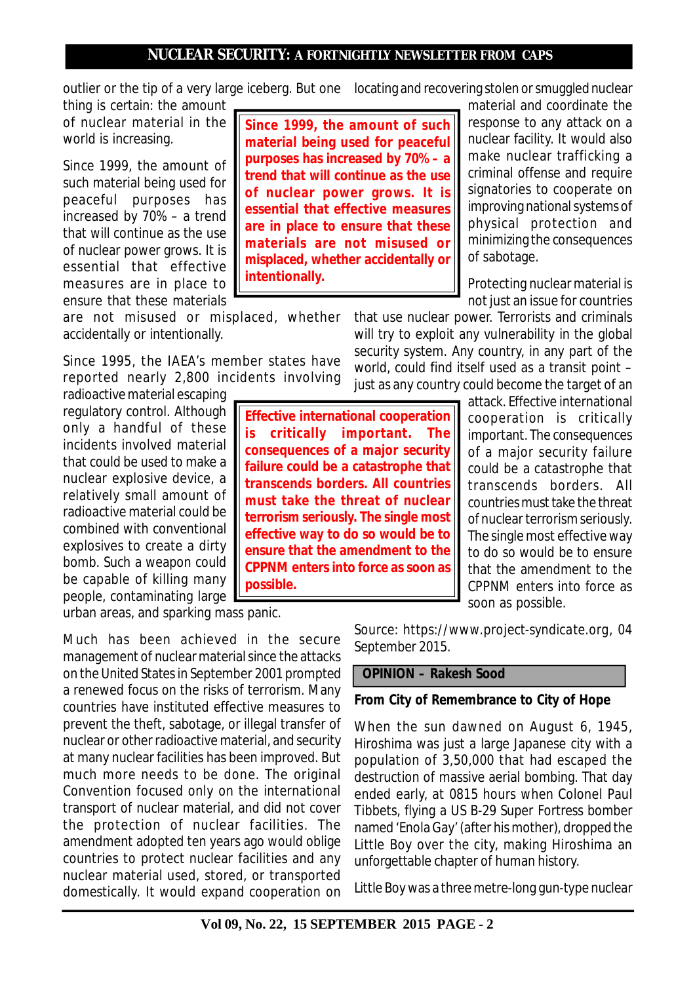outlier or the tip of a very large iceberg. But one locating and recovering stolen or smuggled nuclear

thing is certain: the amount of nuclear material in the world is increasing.

Since 1999, the amount of such material being used for peaceful purposes has increased by 70% – a trend that will continue as the use of nuclear power grows. It is essential that effective measures are in place to ensure that these materials

are not misused or misplaced, whether accidentally or intentionally.

Since 1995, the IAEA's member states have reported nearly 2,800 incidents involving

radioactive material escaping regulatory control. Although only a handful of these incidents involved material that could be used to make a nuclear explosive device, a relatively small amount of radioactive material could be combined with conventional explosives to create a dirty bomb. Such a weapon could be capable of killing many people, contaminating large

urban areas, and sparking mass panic.

**possible.**

Much has been achieved in the secure management of nuclear material since the attacks on the United States in September 2001 prompted a renewed focus on the risks of terrorism. Many countries have instituted effective measures to prevent the theft, sabotage, or illegal transfer of nuclear or other radioactive material, and security at many nuclear facilities has been improved. But much more needs to be done. The original Convention focused only on the international transport of nuclear material, and did not cover the protection of nuclear facilities. The amendment adopted ten years ago would oblige countries to protect nuclear facilities and any nuclear material used, stored, or transported domestically. It would expand cooperation on *Source: https://www.project-syndicate.org, 04 September 2015.*

# **OPINION – Rakesh Sood**

# **From City of Remembrance to City of Hope**

When the sun dawned on August 6, 1945, Hiroshima was just a large Japanese city with a population of 3,50,000 that had escaped the destruction of massive aerial bombing. That day ended early, at 0815 hours when Colonel Paul Tibbets, flying a US B-29 Super Fortress bomber named 'Enola Gay' (after his mother), dropped the Little Boy over the city, making Hiroshima an unforgettable chapter of human history.

Little Boy was a three metre-long gun-type nuclear

soon as possible.

**Since 1999, the amount of such material being used for peaceful purposes has increased by 70% – a trend that will continue as the use of nuclear power grows. It is essential that effective measures are in place to ensure that these materials are not misused or misplaced, whether accidentally or intentionally.**

**Effective international cooperation is critically important. The consequences of a major security failure could be a catastrophe that transcends borders. All countries must take the threat of nuclear terrorism seriously. The single most effective way to do so would be to ensure that the amendment to the CPPNM enters into force as soon as** material and coordinate the response to any attack on a nuclear facility. It would also make nuclear trafficking a criminal offense and require signatories to cooperate on improving national systems of physical protection and minimizing the consequences of sabotage.

Protecting nuclear material is not just an issue for countries

that use nuclear power. Terrorists and criminals will try to exploit any vulnerability in the global security system. Any country, in any part of the world, could find itself used as a transit point – just as any country could become the target of an

attack. Effective international cooperation is critically important. The consequences of a major security failure could be a catastrophe that transcends borders. All countries must take the threat of nuclear terrorism seriously. The single most effective way to do so would be to ensure that the amendment to the CPPNM enters into force as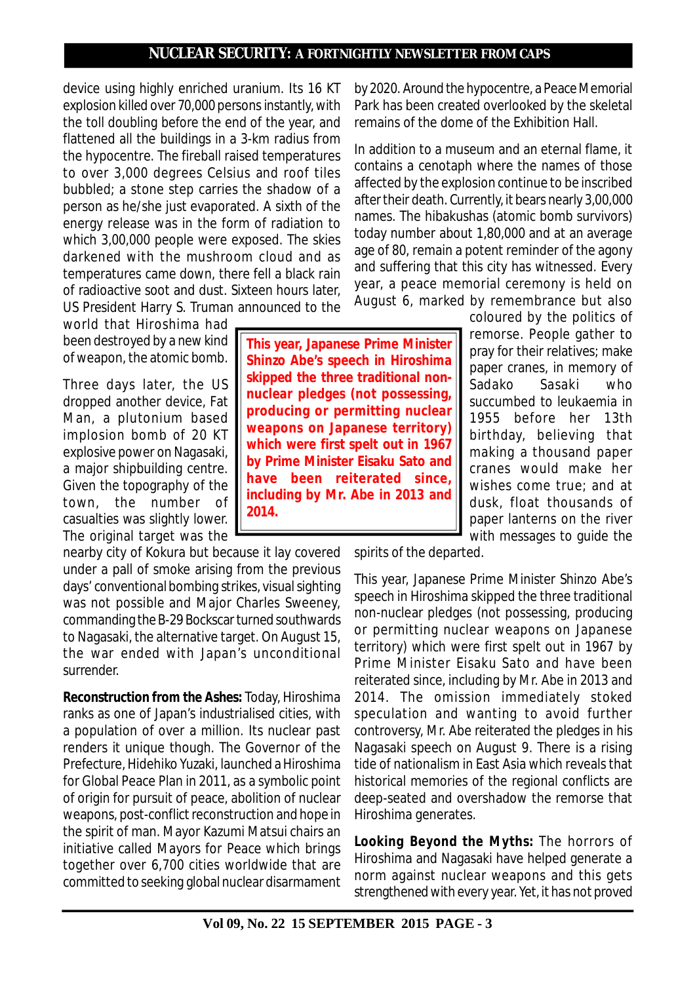device using highly enriched uranium. Its 16 KT explosion killed over 70,000 persons instantly, with the toll doubling before the end of the year, and flattened all the buildings in a 3-km radius from the hypocentre. The fireball raised temperatures to over 3,000 degrees Celsius and roof tiles bubbled; a stone step carries the shadow of a person as he/she just evaporated. A sixth of the energy release was in the form of radiation to which 3,00,000 people were exposed. The skies darkened with the mushroom cloud and as temperatures came down, there fell a black rain of radioactive soot and dust. Sixteen hours later, US President Harry S. Truman announced to the

world that Hiroshima had been destroyed by a new kind of weapon, the atomic bomb.

Three days later, the US dropped another device, Fat Man, a plutonium based implosion bomb of 20 KT explosive power on Nagasaki, a major shipbuilding centre. Given the topography of the town, the number of casualties was slightly lower. The original target was the

nearby city of Kokura but because it lay covered under a pall of smoke arising from the previous days' conventional bombing strikes, visual sighting was not possible and Major Charles Sweeney, commanding the B-29 Bockscar turned southwards to Nagasaki, the alternative target. On August 15, the war ended with Japan's unconditional surrender.

*Reconstruction from the Ashes***:** Today, Hiroshima ranks as one of Japan's industrialised cities, with a population of over a million. Its nuclear past renders it unique though. The Governor of the Prefecture, Hidehiko Yuzaki, launched a Hiroshima for Global Peace Plan in 2011, as a symbolic point of origin for pursuit of peace, abolition of nuclear weapons, post-conflict reconstruction and hope in the spirit of man. Mayor Kazumi Matsui chairs an initiative called Mayors for Peace which brings together over 6,700 cities worldwide that are committed to seeking global nuclear disarmament

**This year, Japanese Prime Minister Shinzo Abe's speech in Hiroshima skipped the three traditional nonnuclear pledges (not possessing, producing or permitting nuclear weapons on Japanese territory) which were first spelt out in 1967 by Prime Minister Eisaku Sato and have been reiterated since, including by Mr. Abe in 2013 and 2014.**

by 2020. Around the hypocentre, a Peace Memorial Park has been created overlooked by the skeletal remains of the dome of the Exhibition Hall.

In addition to a museum and an eternal flame, it contains a cenotaph where the names of those affected by the explosion continue to be inscribed after their death. Currently, it bears nearly 3,00,000 names. The hibakushas (atomic bomb survivors) today number about 1,80,000 and at an average age of 80, remain a potent reminder of the agony and suffering that this city has witnessed. Every year, a peace memorial ceremony is held on August 6, marked by remembrance but also

> coloured by the politics of remorse. People gather to pray for their relatives; make paper cranes, in memory of Sadako Sasaki who succumbed to leukaemia in 1955 before her 13th birthday, believing that making a thousand paper cranes would make her wishes come true; and at dusk, float thousands of paper lanterns on the river with messages to guide the

spirits of the departed.

This year, Japanese Prime Minister Shinzo Abe's speech in Hiroshima skipped the three traditional non-nuclear pledges (not possessing, producing or permitting nuclear weapons on Japanese territory) which were first spelt out in 1967 by Prime Minister Eisaku Sato and have been reiterated since, including by Mr. Abe in 2013 and 2014. The omission immediately stoked speculation and wanting to avoid further controversy, Mr. Abe reiterated the pledges in his Nagasaki speech on August 9. There is a rising tide of nationalism in East Asia which reveals that historical memories of the regional conflicts are deep-seated and overshadow the remorse that Hiroshima generates.

*Looking Beyond the Myths***:** The horrors of Hiroshima and Nagasaki have helped generate a norm against nuclear weapons and this gets strengthened with every year. Yet, it has not proved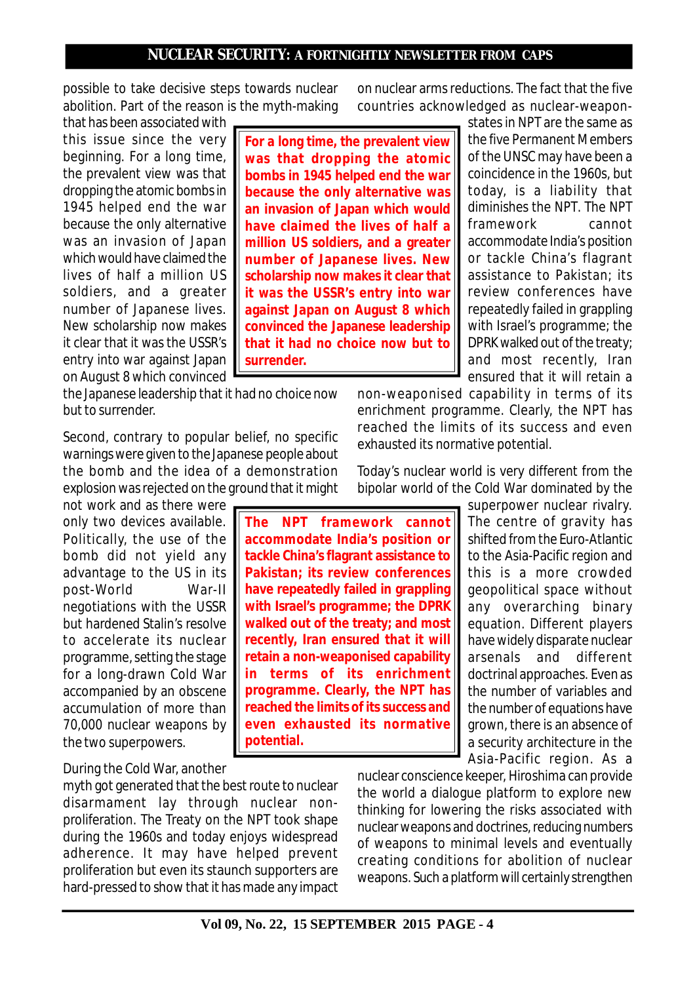possible to take decisive steps towards nuclear abolition. Part of the reason is the myth-making

that has been associated with this issue since the very beginning. For a long time, the prevalent view was that dropping the atomic bombs in 1945 helped end the war because the only alternative was an invasion of Japan which would have claimed the lives of half a million US soldiers, and a greater number of Japanese lives. New scholarship now makes it clear that it was the USSR's entry into war against Japan on August 8 which convinced

the Japanese leadership that it had no choice now but to surrender.

Second, contrary to popular belief, no specific warnings were given to the Japanese people about the bomb and the idea of a demonstration explosion was rejected on the ground that it might

not work and as there were only two devices available. Politically, the use of the bomb did not yield any advantage to the US in its post-World War-II negotiations with the USSR but hardened Stalin's resolve to accelerate its nuclear programme, setting the stage for a long-drawn Cold War accompanied by an obscene accumulation of more than 70,000 nuclear weapons by the two superpowers.

# During the Cold War, another

myth got generated that the best route to nuclear disarmament lay through nuclear nonproliferation. The Treaty on the NPT took shape during the 1960s and today enjoys widespread adherence. It may have helped prevent proliferation but even its staunch supporters are hard-pressed to show that it has made any impact on nuclear arms reductions. The fact that the five countries acknowledged as nuclear-weapon-

**For a long time, the prevalent view was that dropping the atomic bombs in 1945 helped end the war because the only alternative was an invasion of Japan which would have claimed the lives of half a million US soldiers, and a greater number of Japanese lives. New scholarship now makes it clear that it was the USSR's entry into war against Japan on August 8 which convinced the Japanese leadership that it had no choice now but to surrender.**

states in NPT are the same as the five Permanent Members of the UNSC may have been a coincidence in the 1960s, but today, is a liability that diminishes the NPT. The NPT framework cannot accommodate India's position or tackle China's flagrant assistance to Pakistan; its review conferences have repeatedly failed in grappling with Israel's programme; the DPRK walked out of the treaty; and most recently, Iran ensured that it will retain a

non-weaponised capability in terms of its enrichment programme. Clearly, the NPT has reached the limits of its success and even exhausted its normative potential.

Today's nuclear world is very different from the bipolar world of the Cold War dominated by the

> superpower nuclear rivalry. The centre of gravity has shifted from the Euro-Atlantic to the Asia-Pacific region and this is a more crowded geopolitical space without any overarching binary equation. Different players have widely disparate nuclear arsenals and different doctrinal approaches. Even as the number of variables and the number of equations have grown, there is an absence of a security architecture in the Asia-Pacific region. As a

nuclear conscience keeper, Hiroshima can provide the world a dialogue platform to explore new thinking for lowering the risks associated with nuclear weapons and doctrines, reducing numbers of weapons to minimal levels and eventually creating conditions for abolition of nuclear weapons. Such a platform will certainly strengthen

**The NPT framework cannot accommodate India's position or tackle China's flagrant assistance to Pakistan; its review conferences have repeatedly failed in grappling with Israel's programme; the DPRK walked out of the treaty; and most recently, Iran ensured that it will retain a non-weaponised capability in terms of its enrichment programme. Clearly, the NPT has reached the limits of its success and even exhausted its normative potential.**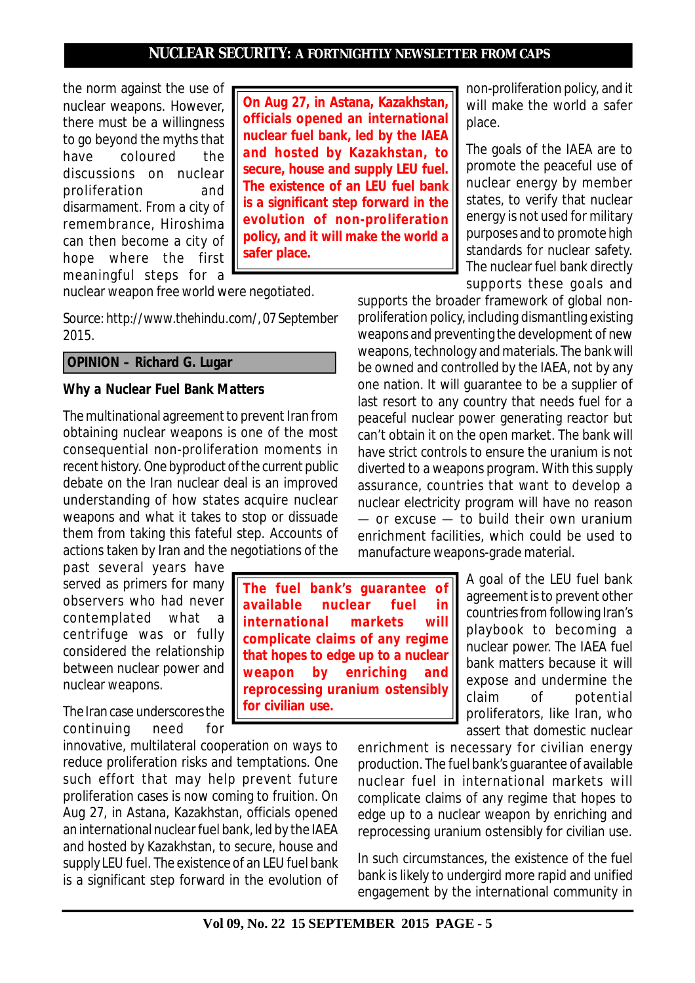the norm against the use of nuclear weapons. However, there must be a willingness to go beyond the myths that have coloured the discussions on nuclear proliferation and disarmament. From a city of remembrance, Hiroshima can then become a city of hope where the first meaningful steps for a

**On Aug 27, in Astana, Kazakhstan, officials opened an international nuclear fuel bank, led by the IAEA and hosted by Kazakhstan, to secure, house and supply LEU fuel. The existence of an LEU fuel bank is a significant step forward in the evolution of non-proliferation policy, and it will make the world a safer place.**

nuclear weapon free world were negotiated.

*Source: http://www.thehindu.com/, 07 September 2015.*

## **OPINION – Richard G. Lugar**

### **Why a Nuclear Fuel Bank Matters**

The multinational agreement to prevent Iran from obtaining nuclear weapons is one of the most consequential non-proliferation moments in recent history. One byproduct of the current public debate on the Iran nuclear deal is an improved understanding of how states acquire nuclear weapons and what it takes to stop or dissuade them from taking this fateful step. Accounts of actions taken by Iran and the negotiations of the

past several years have served as primers for many observers who had never contemplated what a centrifuge was or fully considered the relationship between nuclear power and nuclear weapons.

The Iran case underscores the continuing need for

innovative, multilateral cooperation on ways to reduce proliferation risks and temptations. One such effort that may help prevent future proliferation cases is now coming to fruition. On Aug 27, in Astana, Kazakhstan, officials opened an international nuclear fuel bank, led by the IAEA and hosted by Kazakhstan, to secure, house and supply LEU fuel. The existence of an LEU fuel bank is a significant step forward in the evolution of

**The fuel bank's guarantee of available nuclear fuel in international markets will complicate claims of any regime that hopes to edge up to a nuclear weapon by enriching and reprocessing uranium ostensibly for civilian use.**

non-proliferation policy, and it will make the world a safer place.

The goals of the IAEA are to promote the peaceful use of nuclear energy by member states, to verify that nuclear energy is not used for military purposes and to promote high standards for nuclear safety. The nuclear fuel bank directly supports these goals and

supports the broader framework of global nonproliferation policy, including dismantling existing weapons and preventing the development of new weapons, technology and materials. The bank will be owned and controlled by the IAEA, not by any one nation. It will guarantee to be a supplier of last resort to any country that needs fuel for a peaceful nuclear power generating reactor but can't obtain it on the open market. The bank will have strict controls to ensure the uranium is not diverted to a weapons program. With this supply assurance, countries that want to develop a nuclear electricity program will have no reason — or excuse — to build their own uranium enrichment facilities, which could be used to manufacture weapons-grade material.

> A goal of the LEU fuel bank agreement is to prevent other countries from following Iran's playbook to becoming a nuclear power. The IAEA fuel bank matters because it will expose and undermine the claim of potential proliferators, like Iran, who assert that domestic nuclear

enrichment is necessary for civilian energy production. The fuel bank's guarantee of available nuclear fuel in international markets will complicate claims of any regime that hopes to edge up to a nuclear weapon by enriching and reprocessing uranium ostensibly for civilian use.

In such circumstances, the existence of the fuel bank is likely to undergird more rapid and unified engagement by the international community in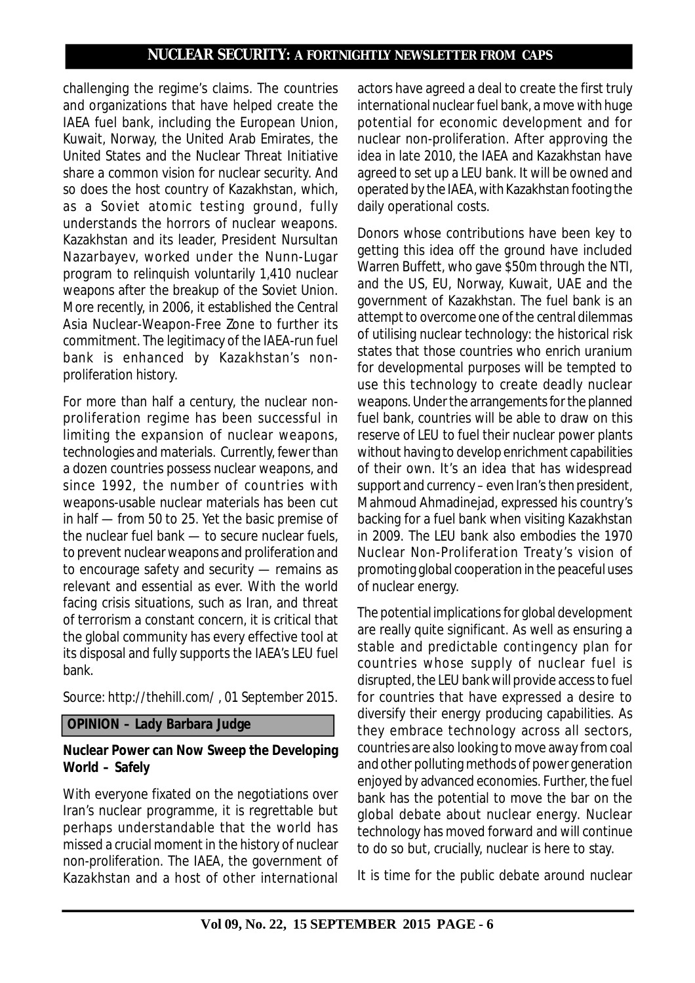challenging the regime's claims. The countries and organizations that have helped create the IAEA fuel bank, including the European Union, Kuwait, Norway, the United Arab Emirates, the United States and the Nuclear Threat Initiative share a common vision for nuclear security. And so does the host country of Kazakhstan, which, as a Soviet atomic testing ground, fully understands the horrors of nuclear weapons. Kazakhstan and its leader, President Nursultan Nazarbayev, worked under the Nunn-Lugar program to relinquish voluntarily 1,410 nuclear weapons after the breakup of the Soviet Union. More recently, in 2006, it established the Central Asia Nuclear-Weapon-Free Zone to further its commitment. The legitimacy of the IAEA-run fuel bank is enhanced by Kazakhstan's nonproliferation history.

For more than half a century, the nuclear nonproliferation regime has been successful in limiting the expansion of nuclear weapons, technologies and materials. Currently, fewer than a dozen countries possess nuclear weapons, and since 1992, the number of countries with weapons-usable nuclear materials has been cut in half — from 50 to 25. Yet the basic premise of the nuclear fuel bank — to secure nuclear fuels, to prevent nuclear weapons and proliferation and to encourage safety and security — remains as relevant and essential as ever. With the world facing crisis situations, such as Iran, and threat of terrorism a constant concern, it is critical that the global community has every effective tool at its disposal and fully supports the IAEA's LEU fuel bank.

*Source: http://thehill.com/ , 01 September 2015.*

## **OPINION – Lady Barbara Judge**

## **Nuclear Power can Now Sweep the Developing World – Safely**

With everyone fixated on the negotiations over Iran's nuclear programme, it is regrettable but perhaps understandable that the world has missed a crucial moment in the history of nuclear non-proliferation. The IAEA, the government of Kazakhstan and a host of other international

actors have agreed a deal to create the first truly international nuclear fuel bank, a move with huge potential for economic development and for nuclear non-proliferation. After approving the idea in late 2010, the IAEA and Kazakhstan have agreed to set up a LEU bank. It will be owned and operated by the IAEA, with Kazakhstan footing the daily operational costs.

Donors whose contributions have been key to getting this idea off the ground have included Warren Buffett, who gave \$50m through the NTI, and the US, EU, Norway, Kuwait, UAE and the government of Kazakhstan. The fuel bank is an attempt to overcome one of the central dilemmas of utilising nuclear technology: the historical risk states that those countries who enrich uranium for developmental purposes will be tempted to use this technology to create deadly nuclear weapons. Under the arrangements for the planned fuel bank, countries will be able to draw on this reserve of LEU to fuel their nuclear power plants without having to develop enrichment capabilities of their own. It's an idea that has widespread support and currency – even Iran's then president, Mahmoud Ahmadinejad, expressed his country's backing for a fuel bank when visiting Kazakhstan in 2009. The LEU bank also embodies the 1970 Nuclear Non-Proliferation Treaty's vision of promoting global cooperation in the peaceful uses of nuclear energy.

The potential implications for global development are really quite significant. As well as ensuring a stable and predictable contingency plan for countries whose supply of nuclear fuel is disrupted, the LEU bank will provide access to fuel for countries that have expressed a desire to diversify their energy producing capabilities. As they embrace technology across all sectors, countries are also looking to move away from coal and other polluting methods of power generation enjoyed by advanced economies. Further, the fuel bank has the potential to move the bar on the global debate about nuclear energy. Nuclear technology has moved forward and will continue to do so but, crucially, nuclear is here to stay.

It is time for the public debate around nuclear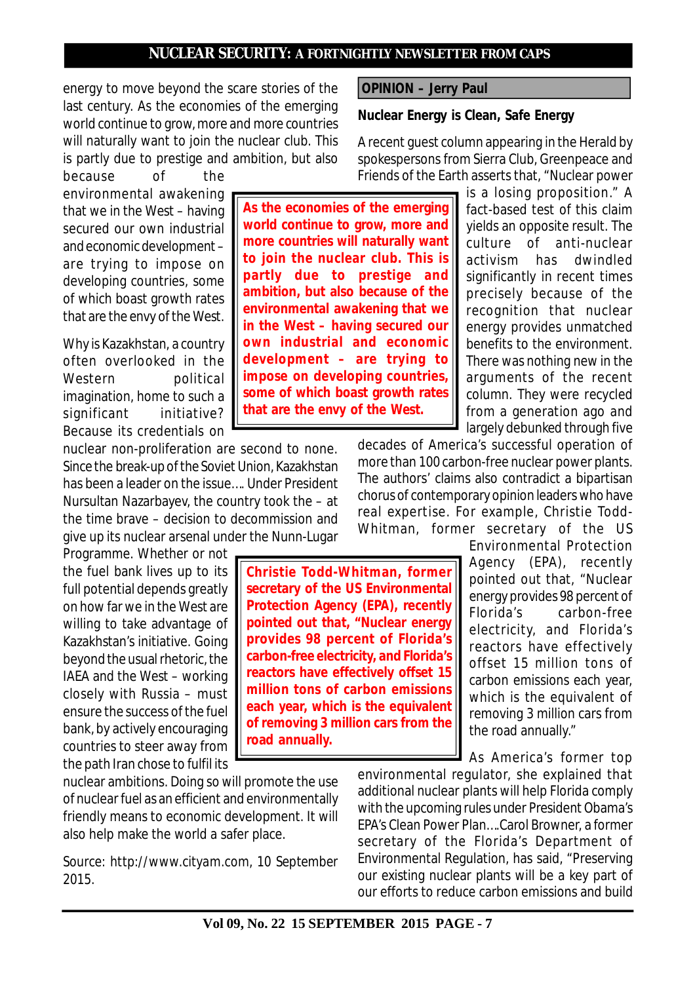energy to move beyond the scare stories of the last century. As the economies of the emerging world continue to grow, more and more countries will naturally want to join the nuclear club. This is partly due to prestige and ambition, but also

because of the environmental awakening that we in the West – having secured our own industrial and economic development – are trying to impose on developing countries, some of which boast growth rates that are the envy of the West.

Why is Kazakhstan, a country often overlooked in the Western political imagination, home to such a significant initiative? Because its credentials on

nuclear non-proliferation are second to none. Since the break-up of the Soviet Union, Kazakhstan has been a leader on the issue…. Under President Nursultan Nazarbayev, the country took the – at the time brave – decision to decommission and give up its nuclear arsenal under the Nunn-Lugar

Programme. Whether or not the fuel bank lives up to its full potential depends greatly on how far we in the West are willing to take advantage of Kazakhstan's initiative. Going beyond the usual rhetoric, the IAEA and the West – working closely with Russia – must ensure the success of the fuel bank, by actively encouraging countries to steer away from the path Iran chose to fulfil its

nuclear ambitions. Doing so will promote the use of nuclear fuel as an efficient and environmentally friendly means to economic development. It will also help make the world a safer place.

*Source: http://www.cityam.com, 10 September 2015.*

 **OPINION – Jerry Paul**

### **Nuclear Energy is Clean, Safe Energy**

A recent guest column appearing in the Herald by spokespersons from Sierra Club, Greenpeace and Friends of the Earth asserts that, "Nuclear power

**As the economies of the emerging world continue to grow, more and more countries will naturally want to join the nuclear club. This is partly due to prestige and ambition, but also because of the environmental awakening that we in the West – having secured our own industrial and economic development – are trying to impose on developing countries, some of which boast growth rates that are the envy of the West.**

**Christie Todd-Whitman, former secretary of the US Environmental Protection Agency (EPA), recently pointed out that, "Nuclear energy provides 98 percent of Florida's carbon-free electricity, and Florida's reactors have effectively offset 15 million tons of carbon emissions each year, which is the equivalent of removing 3 million cars from the**

**road annually.**

is a losing proposition." A fact-based test of this claim yields an opposite result. The culture of anti-nuclear activism has dwindled significantly in recent times precisely because of the recognition that nuclear energy provides unmatched benefits to the environment. There was nothing new in the arguments of the recent column. They were recycled from a generation ago and largely debunked through five

decades of America's successful operation of more than 100 carbon-free nuclear power plants. The authors' claims also contradict a bipartisan chorus of contemporary opinion leaders who have real expertise. For example, Christie Todd-Whitman, former secretary of the US

Environmental Protection Agency (EPA), recently pointed out that, "Nuclear energy provides 98 percent of Florida's carbon-free electricity, and Florida's reactors have effectively offset 15 million tons of carbon emissions each year, which is the equivalent of removing 3 million cars from the road annually."

As America's former top

environmental regulator, she explained that additional nuclear plants will help Florida comply with the upcoming rules under President Obama's EPA's Clean Power Plan….Carol Browner, a former secretary of the Florida's Department of Environmental Regulation, has said, "Preserving our existing nuclear plants will be a key part of our efforts to reduce carbon emissions and build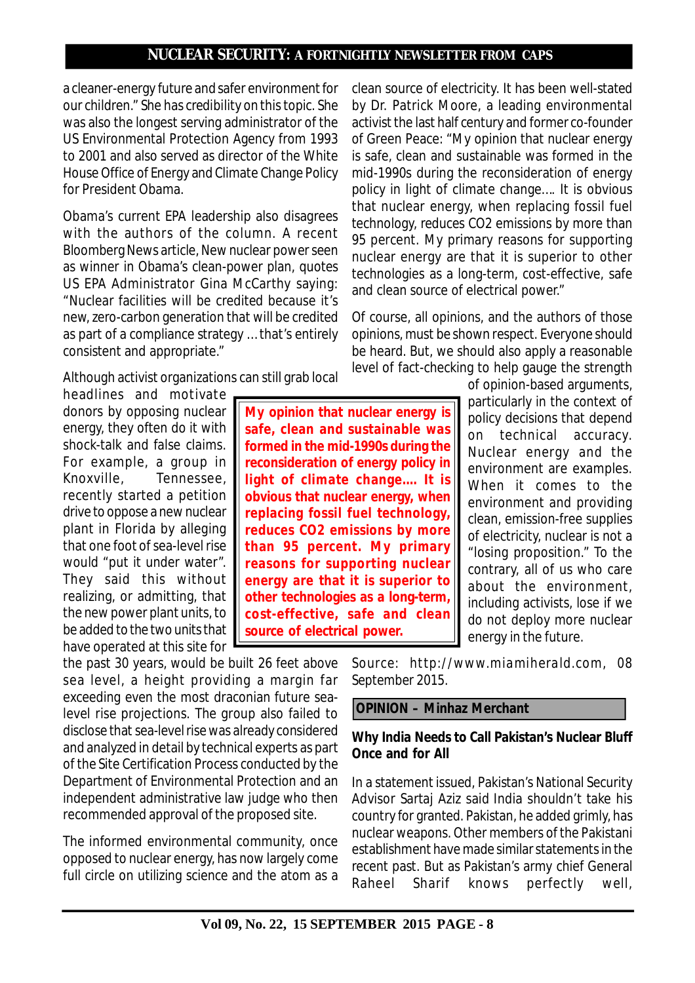a cleaner-energy future and safer environment for our children." She has credibility on this topic. She was also the longest serving administrator of the US Environmental Protection Agency from 1993 to 2001 and also served as director of the White House Office of Energy and Climate Change Policy for President Obama.

Obama's current EPA leadership also disagrees with the authors of the column. A recent Bloomberg News article, New nuclear power seen as winner in Obama's clean-power plan, quotes US EPA Administrator Gina McCarthy saying: "Nuclear facilities will be credited because it's new, zero-carbon generation that will be credited as part of a compliance strategy … that's entirely consistent and appropriate."

Although activist organizations can still grab local

headlines and motivate donors by opposing nuclear energy, they often do it with shock-talk and false claims. For example, a group in Knoxville, Tennessee, recently started a petition drive to oppose a new nuclear plant in Florida by alleging that one foot of sea-level rise would "put it under water". They said this without realizing, or admitting, that the new power plant units, to be added to the two units that have operated at this site for

the past 30 years, would be built 26 feet above sea level, a height providing a margin far exceeding even the most draconian future sealevel rise projections. The group also failed to disclose that sea-level rise was already considered and analyzed in detail by technical experts as part of the Site Certification Process conducted by the Department of Environmental Protection and an independent administrative law judge who then recommended approval of the proposed site.

The informed environmental community, once opposed to nuclear energy, has now largely come full circle on utilizing science and the atom as a clean source of electricity. It has been well-stated by Dr. Patrick Moore, a leading environmental activist the last half century and former co-founder of Green Peace: "My opinion that nuclear energy is safe, clean and sustainable was formed in the mid-1990s during the reconsideration of energy policy in light of climate change…. It is obvious that nuclear energy, when replacing fossil fuel technology, reduces CO2 emissions by more than 95 percent. My primary reasons for supporting nuclear energy are that it is superior to other technologies as a long-term, cost-effective, safe and clean source of electrical power."

Of course, all opinions, and the authors of those opinions, must be shown respect. Everyone should be heard. But, we should also apply a reasonable level of fact-checking to help gauge the strength

> of opinion-based arguments, particularly in the context of policy decisions that depend on technical accuracy. Nuclear energy and the environment are examples. When it comes to the environment and providing clean, emission-free supplies of electricity, nuclear is not a "losing proposition." To the contrary, all of us who care about the environment, including activists, lose if we do not deploy more nuclear energy in the future.

**My opinion that nuclear energy is safe, clean and sustainable was formed in the mid-1990s during the reconsideration of energy policy in light of climate change…. It is obvious that nuclear energy, when replacing fossil fuel technology, reduces CO2 emissions by more than 95 percent. My primary reasons for supporting nuclear energy are that it is superior to other technologies as a long-term, cost-effective, safe and clean source of electrical power.**

> *Source: http://www.miamiherald.com, 08 September 2015.*

 **OPINION – Minhaz Merchant**

## **Why India Needs to Call Pakistan's Nuclear Bluff Once and for All**

In a statement issued, Pakistan's National Security Advisor Sartaj Aziz said India shouldn't take his country for granted. Pakistan, he added grimly, has nuclear weapons. Other members of the Pakistani establishment have made similar statements in the recent past. But as Pakistan's army chief General Raheel Sharif knows perfectly well,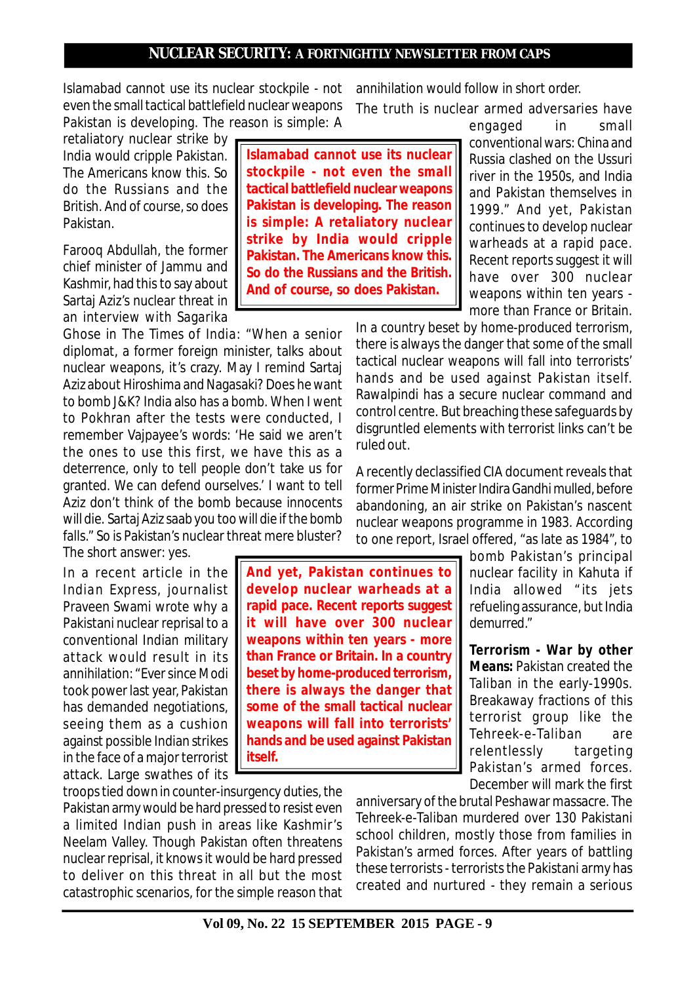Islamabad cannot use its nuclear stockpile - not even the small tactical battlefield nuclear weapons Pakistan is developing. The reason is simple: A

retaliatory nuclear strike by India would cripple Pakistan. The Americans know this. So do the Russians and the British. And of course, so does Pakistan.

Farooq Abdullah, the former chief minister of Jammu and Kashmir, had this to say about Sartaj Aziz's nuclear threat in an interview with Sagarika

Ghose in *The Times of India*: "When a senior diplomat, a former foreign minister, talks about nuclear weapons, it's crazy. May I remind Sartaj Aziz about Hiroshima and Nagasaki? Does he want to bomb J&K? India also has a bomb. When I went to Pokhran after the tests were conducted, I remember Vajpayee's words: 'He said we aren't the ones to use this first, we have this as a deterrence, only to tell people don't take us for granted. We can defend ourselves.' I want to tell Aziz don't think of the bomb because innocents will die. Sartaj Aziz saab you too will die if the bomb falls." So is Pakistan's nuclear threat mere bluster? The short answer: yes.

In a recent article in the *Indian Express*, journalist Praveen Swami wrote why a Pakistani nuclear reprisal to a conventional Indian military attack would result in its annihilation: "Ever since Modi took power last year, Pakistan has demanded negotiations, seeing them as a cushion against possible Indian strikes in the face of a major terrorist attack. Large swathes of its

troops tied down in counter-insurgency duties, the Pakistan army would be hard pressed to resist even a limited Indian push in areas like Kashmir's Neelam Valley. Though Pakistan often threatens nuclear reprisal, it knows it would be hard pressed to deliver on this threat in all but the most catastrophic scenarios, for the simple reason that

**Islamabad cannot use its nuclear stockpile - not even the small tactical battlefield nuclear weapons Pakistan is developing. The reason is simple: A retaliatory nuclear strike by India would cripple Pakistan. The Americans know this. So do the Russians and the British. And of course, so does Pakistan.**

annihilation would follow in short order. The truth is nuclear armed adversaries have

> engaged in small conventional wars: China and Russia clashed on the Ussuri river in the 1950s, and India and Pakistan themselves in 1999." And yet, Pakistan continues to develop nuclear warheads at a rapid pace. Recent reports suggest it will have over 300 nuclear weapons within ten years more than France or Britain.

In a country beset by home-produced terrorism, there is always the danger that some of the small tactical nuclear weapons will fall into terrorists' hands and be used against Pakistan itself. Rawalpindi has a secure nuclear command and control centre. But breaching these safeguards by disgruntled elements with terrorist links can't be ruled out.

A recently declassified CIA document reveals that former Prime Minister Indira Gandhi mulled, before abandoning, an air strike on Pakistan's nascent nuclear weapons programme in 1983. According to one report, Israel offered, "as late as 1984", to

> bomb Pakistan's principal nuclear facility in Kahuta if India allowed " its jets refueling assurance, but India demurred."

> *Terrorism - War by other Means:* Pakistan created the Taliban in the early-1990s. Breakaway fractions of this terrorist group like the Tehreek-e-Taliban are relentlessly targeting Pakistan's armed forces. December will mark the first

anniversary of the brutal Peshawar massacre. The Tehreek-e-Taliban murdered over 130 Pakistani school children, mostly those from families in Pakistan's armed forces. After years of battling these terrorists - terrorists the Pakistani army has created and nurtured - they remain a serious

**develop nuclear warheads at a rapid pace. Recent reports suggest it will have over 300 nuclear weapons within ten years - more than France or Britain. In a country beset by home-produced terrorism, there is always the danger that some of the small tactical nuclear weapons will fall into terrorists' hands and be used against Pakistan itself.**

**And yet, Pakistan continues to**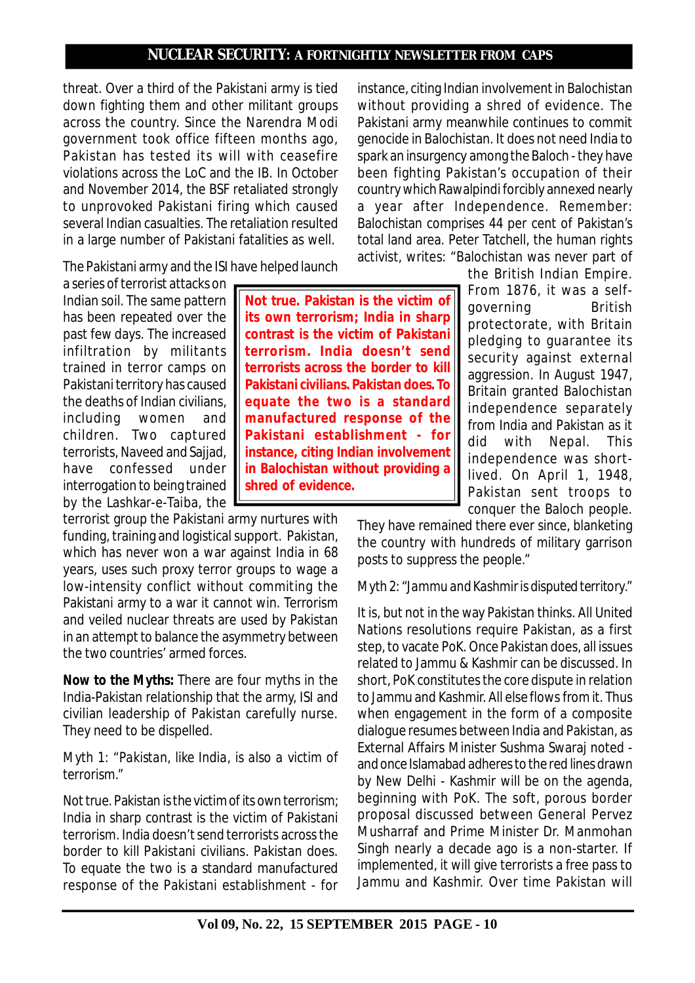threat. Over a third of the Pakistani army is tied down fighting them and other militant groups across the country. Since the Narendra Modi government took office fifteen months ago, Pakistan has tested its will with ceasefire violations across the LoC and the IB. In October and November 2014, the BSF retaliated strongly to unprovoked Pakistani firing which caused several Indian casualties. The retaliation resulted in a large number of Pakistani fatalities as well.

The Pakistani army and the ISI have helped launch

a series of terrorist attacks on Indian soil. The same pattern has been repeated over the past few days. The increased infiltration by militants trained in terror camps on Pakistani territory has caused the deaths of Indian civilians, including women and children. Two captured terrorists, Naveed and Sajjad, have confessed under interrogation to being trained by the Lashkar-e-Taiba, the

terrorist group the Pakistani army nurtures with funding, training and logistical support. Pakistan, which has never won a war against India in 68 years, uses such proxy terror groups to wage a low-intensity conflict without commiting the Pakistani army to a war it cannot win. Terrorism and veiled nuclear threats are used by Pakistan in an attempt to balance the asymmetry between the two countries' armed forces.

*Now to the Myths***:** There are four myths in the India-Pakistan relationship that the army, ISI and civilian leadership of Pakistan carefully nurse. They need to be dispelled.

## *Myth 1: "Pakistan, like India, is also a victim of terrorism."*

Not true. Pakistan is the victim of its own terrorism; India in sharp contrast is the victim of Pakistani terrorism. India doesn't send terrorists across the border to kill Pakistani civilians. Pakistan does. To equate the two is a standard manufactured response of the Pakistani establishment - for without providing a shred of evidence. The Pakistani army meanwhile continues to commit genocide in Balochistan. It does not need India to spark an insurgency among the Baloch - they have been fighting Pakistan's occupation of their country which Rawalpindi forcibly annexed nearly a year after Independence. Remember: Balochistan comprises 44 per cent of Pakistan's total land area. Peter Tatchell, the human rights activist, writes: "Balochistan was never part of

instance, citing Indian involvement in Balochistan

**Not true. Pakistan is the victim of its own terrorism; India in sharp contrast is the victim of Pakistani terrorism. India doesn't send terrorists across the border to kill Pakistani civilians. Pakistan does. To equate the two is a standard manufactured response of the Pakistani establishment - for instance, citing Indian involvement in Balochistan without providing a shred of evidence.**

the British Indian Empire. From 1876, it was a selfgoverning British protectorate, with Britain pledging to guarantee its security against external aggression. In August 1947, Britain granted Balochistan independence separately from India and Pakistan as it did with Nepal. This independence was shortlived. On April 1, 1948, Pakistan sent troops to conquer the Baloch people.

They have remained there ever since, blanketing the country with hundreds of military garrison posts to suppress the people."

## *Myth 2: "Jammu and Kashmir is disputed territory."*

It is, but not in the way Pakistan thinks. All United Nations resolutions require Pakistan, as a first step, to vacate PoK. Once Pakistan does, all issues related to Jammu & Kashmir can be discussed. In short, PoK constitutes the core dispute in relation to Jammu and Kashmir. All else flows from it. Thus when engagement in the form of a composite dialogue resumes between India and Pakistan, as External Affairs Minister Sushma Swaraj noted and once Islamabad adheres to the red lines drawn by New Delhi - Kashmir will be on the agenda, beginning with PoK. The soft, porous border proposal discussed between General Pervez Musharraf and Prime Minister Dr. Manmohan Singh nearly a decade ago is a non-starter. If implemented, it will give terrorists a free pass to Jammu and Kashmir. Over time Pakistan will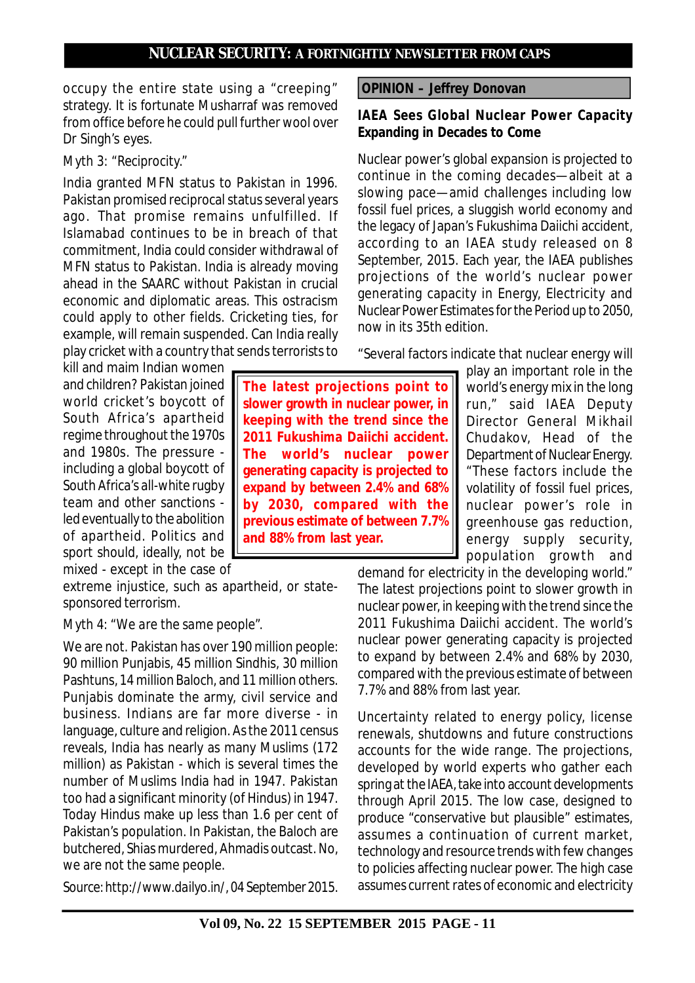occupy the entire state using a "creeping" strategy. It is fortunate Musharraf was removed from office before he could pull further wool over Dr Singh's eyes.

## *Myth 3: "Reciprocity."*

India granted MFN status to Pakistan in 1996. Pakistan promised reciprocal status several years ago. That promise remains unfulfilled. If Islamabad continues to be in breach of that commitment, India could consider withdrawal of MFN status to Pakistan. India is already moving ahead in the SAARC without Pakistan in crucial economic and diplomatic areas. This ostracism could apply to other fields. Cricketing ties, for example, will remain suspended. Can India really play cricket with a country that sends terrorists to

kill and maim Indian women and children? Pakistan joined world cricket's boycott of South Africa's apartheid regime throughout the 1970s and 1980s. The pressure including a global boycott of South Africa's all-white rugby team and other sanctions led eventually to the abolition of apartheid. Politics and sport should, ideally, not be mixed - except in the case of

extreme injustice, such as apartheid, or statesponsored terrorism.

#### *Myth 4: "We are the same people".*

We are not. Pakistan has over 190 million people: 90 million Punjabis, 45 million Sindhis, 30 million Pashtuns, 14 million Baloch, and 11 million others. Punjabis dominate the army, civil service and business. Indians are far more diverse - in language, culture and religion. As the 2011 census reveals, India has nearly as many Muslims (172 million) as Pakistan - which is several times the number of Muslims India had in 1947. Pakistan too had a significant minority (of Hindus) in 1947. Today Hindus make up less than 1.6 per cent of Pakistan's population. In Pakistan, the Baloch are butchered, Shias murdered, Ahmadis outcast. No, we are not the same people.

*Source: http://www.dailyo.in/, 04 September 2015.*

**The latest projections point to slower growth in nuclear power, in keeping with the trend since the 2011 Fukushima Daiichi accident. The world's nuclear power generating capacity is projected to expand by between 2.4% and 68% by 2030, compared with the previous estimate of between 7.7% and 88% from last year.**

 **OPINION – Jeffrey Donovan**

### **IAEA Sees Global Nuclear Power Capacity Expanding in Decades to Come**

Nuclear power's global expansion is projected to continue in the coming decades—albeit at a slowing pace—amid challenges including low fossil fuel prices, a sluggish world economy and the legacy of Japan's Fukushima Daiichi accident, according to an IAEA study released on 8 September, 2015. Each year, the IAEA publishes projections of the world's nuclear power generating capacity in Energy, Electricity and Nuclear Power Estimates for the Period up to 2050, now in its 35th edition.

"Several factors indicate that nuclear energy will

play an important role in the world's energy mix in the long run," said IAEA Deputy Director General Mikhail Chudakov, Head of the Department of Nuclear Energy. "These factors include the volatility of fossil fuel prices, nuclear power's role in greenhouse gas reduction, energy supply security, population growth and

demand for electricity in the developing world." The latest projections point to slower growth in nuclear power, in keeping with the trend since the 2011 Fukushima Daiichi accident. The world's nuclear power generating capacity is projected to expand by between 2.4% and 68% by 2030, compared with the previous estimate of between 7.7% and 88% from last year.

Uncertainty related to energy policy, license renewals, shutdowns and future constructions accounts for the wide range. The projections, developed by world experts who gather each spring at the IAEA, take into account developments through April 2015. The low case, designed to produce "conservative but plausible" estimates, assumes a continuation of current market, technology and resource trends with few changes to policies affecting nuclear power. The high case assumes current rates of economic and electricity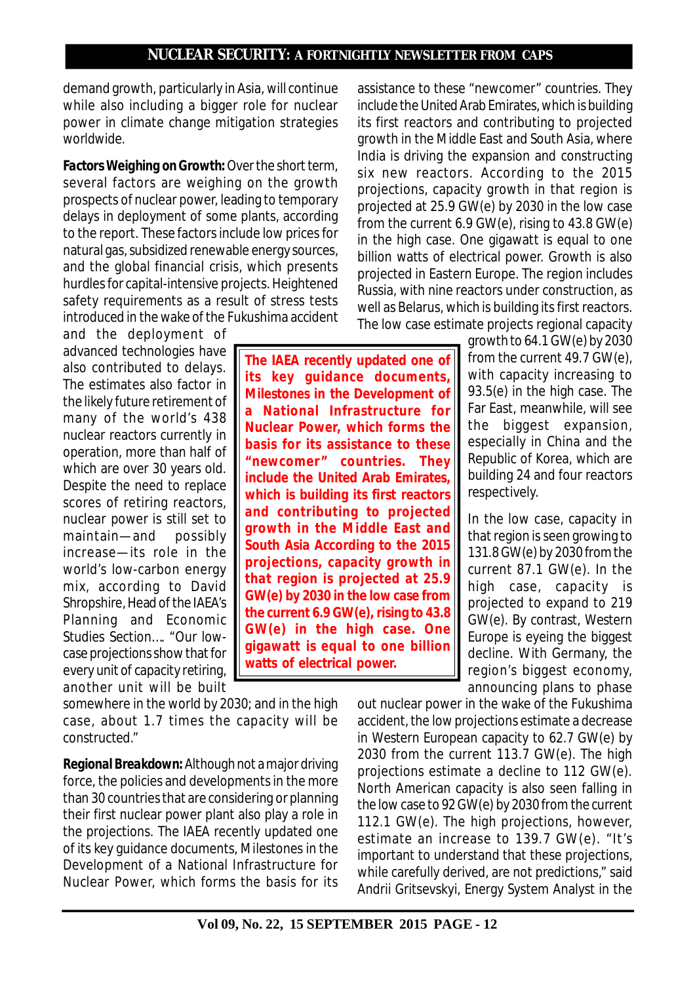demand growth, particularly in Asia, will continue while also including a bigger role for nuclear power in climate change mitigation strategies worldwide.

*Factors Weighing on Growth***:** Over the short term, several factors are weighing on the growth prospects of nuclear power, leading to temporary delays in deployment of some plants, according to the report. These factors include low prices for natural gas, subsidized renewable energy sources, and the global financial crisis, which presents hurdles for capital-intensive projects. Heightened safety requirements as a result of stress tests introduced in the wake of the Fukushima accident

and the deployment of advanced technologies have also contributed to delays. The estimates also factor in the likely future retirement of many of the world's 438 nuclear reactors currently in operation, more than half of which are over 30 years old. Despite the need to replace scores of retiring reactors, nuclear power is still set to maintain—and possibly increase—its role in the world's low-carbon energy mix, according to David Shropshire, Head of the IAEA's Planning and Economic Studies Section…. "Our lowcase projections show that for every unit of capacity retiring, another unit will be built

somewhere in the world by 2030; and in the high case, about 1.7 times the capacity will be constructed."

*Regional Breakdown***:** Although not a major driving force, the policies and developments in the more than 30 countries that are considering or planning their first nuclear power plant also play a role in the projections. The IAEA recently updated one of its key guidance documents, Milestones in the Development of a National Infrastructure for Nuclear Power, which forms the basis for its assistance to these "newcomer" countries. They include the United Arab Emirates, which is building its first reactors and contributing to projected growth in the Middle East and South Asia, where India is driving the expansion and constructing six new reactors. According to the 2015 projections, capacity growth in that region is projected at 25.9 GW(e) by 2030 in the low case from the current 6.9 GW(e), rising to 43.8 GW(e) in the high case. One gigawatt is equal to one billion watts of electrical power. Growth is also projected in Eastern Europe. The region includes Russia, with nine reactors under construction, as well as Belarus, which is building its first reactors. The low case estimate projects regional capacity

**The IAEA recently updated one of its key guidance documents, Milestones in the Development of a National Infrastructure for Nuclear Power, which forms the basis for its assistance to these "newcomer" countries. They include the United Arab Emirates, which is building its first reactors and contributing to projected growth in the Middle East and South Asia According to the 2015 projections, capacity growth in that region is projected at 25.9 GW(e) by 2030 in the low case from the current 6.9 GW(e), rising to 43.8 GW(e) in the high case. One gigawatt is equal to one billion watts of electrical power.**

growth to 64.1 GW(e) by 2030 from the current 49.7 GW(e), with capacity increasing to 93.5(e) in the high case. The Far East, meanwhile, will see the biggest expansion, especially in China and the Republic of Korea, which are building 24 and four reactors respectively.

In the low case, capacity in that region is seen growing to 131.8 GW(e) by 2030 from the current 87.1 GW(e). In the high case, capacity is projected to expand to 219 GW(e). By contrast, Western Europe is eyeing the biggest decline. With Germany, the region's biggest economy, announcing plans to phase

out nuclear power in the wake of the Fukushima accident, the low projections estimate a decrease in Western European capacity to 62.7 GW(e) by 2030 from the current 113.7 GW(e). The high projections estimate a decline to 112 GW(e). North American capacity is also seen falling in the low case to 92 GW(e) by 2030 from the current 112.1 GW(e). The high projections, however, estimate an increase to 139.7 GW(e). "It's important to understand that these projections, while carefully derived, are not predictions," said Andrii Gritsevskyi, Energy System Analyst in the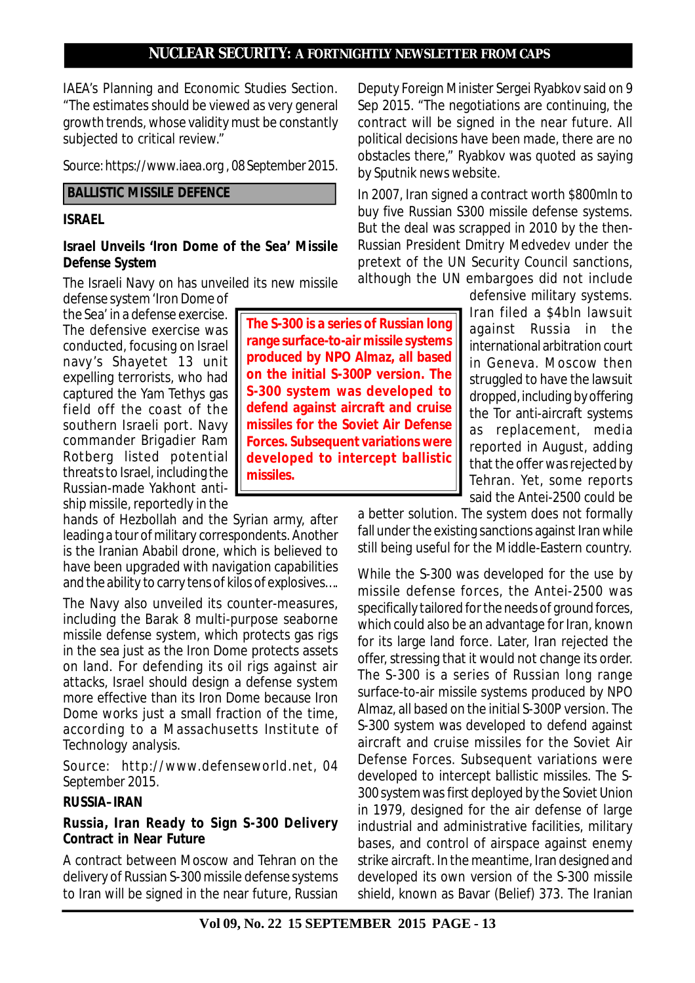IAEA's Planning and Economic Studies Section. "The estimates should be viewed as very general growth trends, whose validity must be constantly subjected to critical review."

*Source: https://www.iaea.org , 08 September 2015.*

### **BALLISTIC MISSILE DEFENCE**

### **ISRAEL**

#### **Israel Unveils 'Iron Dome of the Sea' Missile Defense System**

The Israeli Navy on has unveiled its new missile defense system 'Iron Dome of

the Sea' in a defense exercise. The defensive exercise was conducted, focusing on Israel navy's Shayetet 13 unit expelling terrorists, who had captured the Yam Tethys gas field off the coast of the southern Israeli port. Navy commander Brigadier Ram Rotberg listed potential threats to Israel, including the Russian-made Yakhont antiship missile, reportedly in the

hands of Hezbollah and the Syrian army, after leading a tour of military correspondents. Another is the Iranian Ababil drone, which is believed to have been upgraded with navigation capabilities and the ability to carry tens of kilos of explosives….

The Navy also unveiled its counter-measures, including the Barak 8 multi-purpose seaborne missile defense system, which protects gas rigs in the sea just as the Iron Dome protects assets on land. For defending its oil rigs against air attacks, Israel should design a defense system more effective than its Iron Dome because Iron Dome works just a small fraction of the time, according to a Massachusetts Institute of Technology analysis.

*Source: http://www.defenseworld.net, 04 September 2015.*

## **RUSSIA–IRAN**

## **Russia, Iran Ready to Sign S-300 Delivery Contract in Near Future**

A contract between Moscow and Tehran on the delivery of Russian S-300 missile defense systems to Iran will be signed in the near future, Russian

**The S-300 is a series of Russian long range surface-to-air missile systems produced by NPO Almaz, all based on the initial S-300P version. The S-300 system was developed to defend against aircraft and cruise missiles for the Soviet Air Defense Forces. Subsequent variations were developed to intercept ballistic missiles.**

Deputy Foreign Minister Sergei Ryabkov said on 9 Sep 2015. "The negotiations are continuing, the contract will be signed in the near future. All political decisions have been made, there are no obstacles there," Ryabkov was quoted as saying by Sputnik news website.

In 2007, Iran signed a contract worth \$800mln to buy five Russian S300 missile defense systems. But the deal was scrapped in 2010 by the then-Russian President Dmitry Medvedev under the pretext of the UN Security Council sanctions, although the UN embargoes did not include

> defensive military systems. Iran filed a \$4bln lawsuit against Russia in the international arbitration court in Geneva. Moscow then struggled to have the lawsuit dropped, including by offering the Tor anti-aircraft systems as replacement, media reported in August, adding that the offer was rejected by Tehran. Yet, some reports said the Antei-2500 could be

a better solution. The system does not formally fall under the existing sanctions against Iran while still being useful for the Middle-Eastern country.

While the S-300 was developed for the use by missile defense forces, the Antei-2500 was specifically tailored for the needs of ground forces, which could also be an advantage for Iran, known for its large land force. Later, Iran rejected the offer, stressing that it would not change its order. The S-300 is a series of Russian long range surface-to-air missile systems produced by NPO Almaz, all based on the initial S-300P version. The S-300 system was developed to defend against aircraft and cruise missiles for the Soviet Air Defense Forces. Subsequent variations were developed to intercept ballistic missiles. The S-300 system was first deployed by the Soviet Union in 1979, designed for the air defense of large industrial and administrative facilities, military bases, and control of airspace against enemy strike aircraft. In the meantime, Iran designed and developed its own version of the S-300 missile shield, known as Bavar (Belief) 373. The Iranian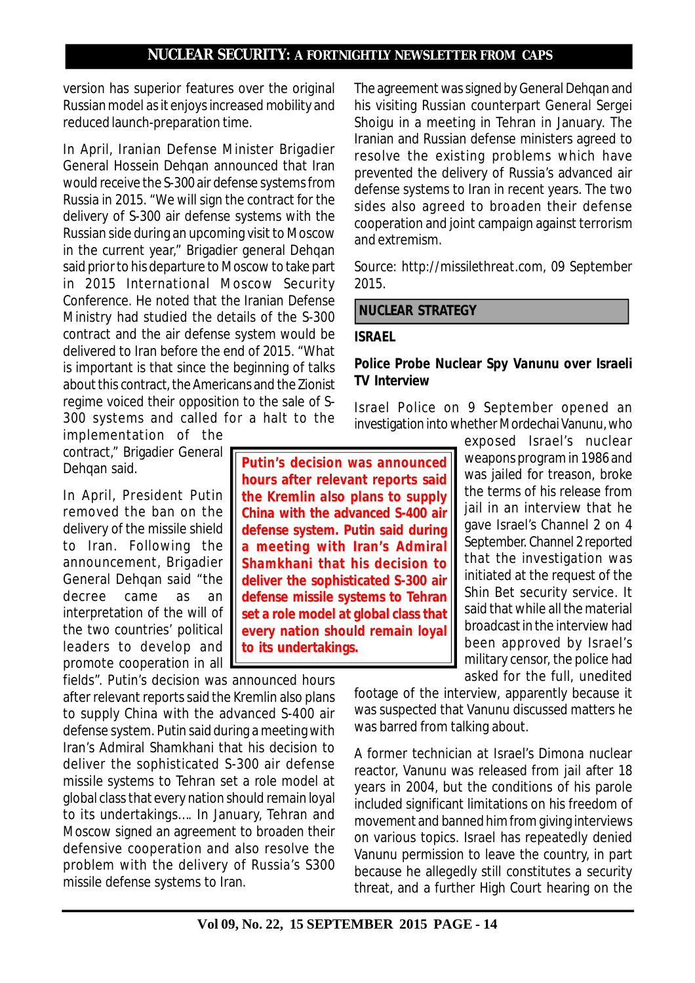version has superior features over the original Russian model as it enjoys increased mobility and reduced launch-preparation time.

In April, Iranian Defense Minister Brigadier General Hossein Dehqan announced that Iran would receive the S-300 air defense systems from Russia in 2015. "We will sign the contract for the delivery of S-300 air defense systems with the Russian side during an upcoming visit to Moscow in the current year," Brigadier general Dehqan said prior to his departure to Moscow to take part in 2015 International Moscow Security Conference. He noted that the Iranian Defense Ministry had studied the details of the S-300 contract and the air defense system would be delivered to Iran before the end of 2015. "What is important is that since the beginning of talks about this contract, the Americans and the Zionist regime voiced their opposition to the sale of S-300 systems and called for a halt to the

implementation of the contract," Brigadier General Dehqan said.

In April, President Putin removed the ban on the delivery of the missile shield to Iran. Following the announcement, Brigadier General Dehqan said "the decree came as an interpretation of the will of the two countries' political leaders to develop and promote cooperation in all

fields". Putin's decision was announced hours after relevant reports said the Kremlin also plans to supply China with the advanced S-400 air defense system. Putin said during a meeting with Iran's Admiral Shamkhani that his decision to deliver the sophisticated S-300 air defense missile systems to Tehran set a role model at global class that every nation should remain loyal to its undertakings…. In January, Tehran and Moscow signed an agreement to broaden their defensive cooperation and also resolve the problem with the delivery of Russia's S300 missile defense systems to Iran.

The agreement was signed by General Dehqan and his visiting Russian counterpart General Sergei Shoigu in a meeting in Tehran in January. The Iranian and Russian defense ministers agreed to resolve the existing problems which have prevented the delivery of Russia's advanced air defense systems to Iran in recent years. The two sides also agreed to broaden their defense cooperation and joint campaign against terrorism and extremism.

*Source: http://missilethreat.com, 09 September 2015.*

 **NUCLEAR STRATEGY**

### **ISRAEL**

## **Police Probe Nuclear Spy Vanunu over Israeli TV Interview**

Israel Police on 9 September opened an investigation into whether Mordechai Vanunu, who

**Putin's decision was announced hours after relevant reports said the Kremlin also plans to supply China with the advanced S-400 air defense system. Putin said during a meeting with Iran's Admiral Shamkhani that his decision to deliver the sophisticated S-300 air defense missile systems to Tehran set a role model at global class that every nation should remain loyal to its undertakings.**

exposed Israel's nuclear weapons program in 1986 and was jailed for treason, broke the terms of his release from jail in an interview that he gave Israel's Channel 2 on 4 September. Channel 2 reported that the investigation was initiated at the request of the Shin Bet security service. It said that while all the material broadcast in the interview had been approved by Israel's military censor, the police had asked for the full, unedited

footage of the interview, apparently because it was suspected that Vanunu discussed matters he was barred from talking about.

A former technician at Israel's Dimona nuclear reactor, Vanunu was released from jail after 18 years in 2004, but the conditions of his parole included significant limitations on his freedom of movement and banned him from giving interviews on various topics. Israel has repeatedly denied Vanunu permission to leave the country, in part because he allegedly still constitutes a security threat, and a further High Court hearing on the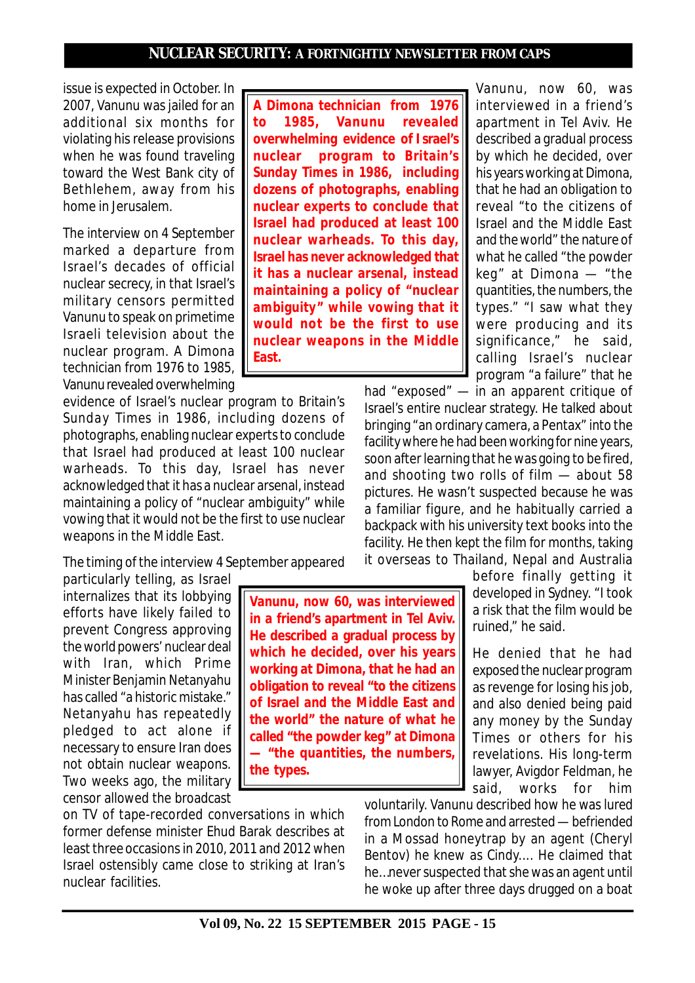issue is expected in October. In 2007, Vanunu was jailed for an additional six months for violating his release provisions when he was found traveling toward the West Bank city of Bethlehem, away from his home in Jerusalem.

The interview on 4 September marked a departure from Israel's decades of official nuclear secrecy, in that Israel's military censors permitted Vanunu to speak on primetime Israeli television about the nuclear program. A Dimona technician from 1976 to 1985, Vanunu revealed overwhelming

evidence of Israel's nuclear program to Britain's *Sunday Times* in 1986, including dozens of photographs, enabling nuclear experts to conclude that Israel had produced at least 100 nuclear warheads. To this day, Israel has never acknowledged that it has a nuclear arsenal, instead maintaining a policy of "nuclear ambiguity" while vowing that it would not be the first to use nuclear weapons in the Middle East.

The timing of the interview 4 September appeared

particularly telling, as Israel internalizes that its lobbying efforts have likely failed to prevent Congress approving the world powers' nuclear deal with Iran, which Prime Minister Benjamin Netanyahu has called "a historic mistake." Netanyahu has repeatedly pledged to act alone if necessary to ensure Iran does not obtain nuclear weapons. Two weeks ago, the military censor allowed the broadcast

on TV of tape-recorded conversations in which former defense minister Ehud Barak describes at least three occasions in 2010, 2011 and 2012 when Israel ostensibly came close to striking at Iran's nuclear facilities.

**the types.**

**A Dimona technician from 1976 to 1985, Vanunu revealed overwhelming evidence of I srael's nuclear program to Britain's** *Sunday Times* **in 1986, including dozens of photographs, enabling nuclear experts to conclude that Israel had produced at least 100 nuclear warheads. To this day, Israel has never acknowledged that it has a nuclear arsenal, instead maintaining a policy of "nuclear ambiguity" while vowing that it would not be the first to use nuclear weapons in the Middle East.**

Vanunu, now 60, was interviewed in a friend's apartment in Tel Aviv. He described a gradual process by which he decided, over his years working at Dimona, that he had an obligation to reveal "to the citizens of Israel and the Middle East and the world" the nature of what he called "the powder keg" at Dimona — "the quantities, the numbers, the types." "I saw what they were producing and its significance," he said, calling Israel's nuclear program "a failure" that he

had "exposed" — in an apparent critique of Israel's entire nuclear strategy. He talked about bringing "an ordinary camera, a Pentax" into the facility where he had been working for nine years, soon after learning that he was going to be fired, and shooting two rolls of film — about 58 pictures. He wasn't suspected because he was a familiar figure, and he habitually carried a backpack with his university text books into the facility. He then kept the film for months, taking it overseas to Thailand, Nepal and Australia

> before finally getting it developed in Sydney. "I took a risk that the film would be ruined," he said.

> He denied that he had exposed the nuclear program as revenge for losing his job, and also denied being paid any money by the Sunday Times or others for his revelations. His long-term lawyer, Avigdor Feldman, he said, works for him

voluntarily. Vanunu described how he was lured from London to Rome and arrested — befriended in a Mossad honeytrap by an agent (Cheryl Bentov) he knew as Cindy.... He claimed that he…never suspected that she was an agent until he woke up after three days drugged on a boat

**Vanunu, now 60, was interviewed in a friend's apartment in Tel Aviv. He described a gradual process by which he decided, over his years working at Dimona, that he had an obligation to reveal "to the citizens of Israel and the Middle East and the world" the nature of what he called "the powder keg" at Dimona — "the quantities, the numbers,**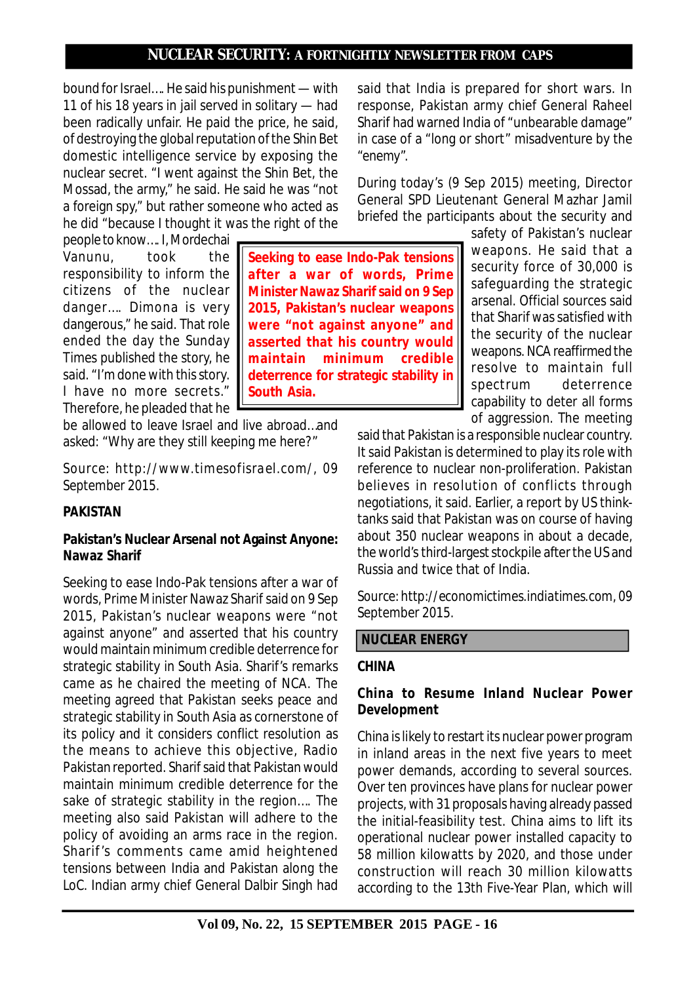**Seeking to ease Indo-Pak tensions after a war of words, Prime Minister Nawaz Sharif said on 9 Sep 2015, Pakistan's nuclear weapons were "not against anyone" and asserted that his country would maintain minimum credible deterrence for strategic stability in**

bound for Israel…. He said his punishment — with 11 of his 18 years in jail served in solitary — had been radically unfair. He paid the price, he said, of destroying the global reputation of the Shin Bet domestic intelligence service by exposing the nuclear secret. "I went against the Shin Bet, the Mossad, the army," he said. He said he was "not a foreign spy," but rather someone who acted as he did "because I thought it was the right of the

people to know…. I, Mordechai Vanunu, took the responsibility to inform the citizens of the nuclear danger…. Dimona is very dangerous," he said. That role ended the day the Sunday Times published the story, he said. "I'm done with this story. I have no more secrets." Therefore, he pleaded that he

be allowed to leave Israel and live abroad…and asked: "Why are they still keeping me here?"

**South Asia.**

*Source: http://www.timesofisrael.com/, 09 September 2015.*

# **PAKISTAN**

## **Pakistan's Nuclear Arsenal not Against Anyone: Nawaz Sharif**

Seeking to ease Indo-Pak tensions after a war of words, Prime Minister Nawaz Sharif said on 9 Sep 2015, Pakistan's nuclear weapons were "not against anyone" and asserted that his country would maintain minimum credible deterrence for strategic stability in South Asia. Sharif's remarks came as he chaired the meeting of NCA. The meeting agreed that Pakistan seeks peace and strategic stability in South Asia as cornerstone of its policy and it considers conflict resolution as the means to achieve this objective, Radio Pakistan reported. Sharif said that Pakistan would maintain minimum credible deterrence for the sake of strategic stability in the region…. The meeting also said Pakistan will adhere to the policy of avoiding an arms race in the region. Sharif 's comments came amid heightened tensions between India and Pakistan along the LoC. Indian army chief General Dalbir Singh had

said that India is prepared for short wars. In response, Pakistan army chief General Raheel Sharif had warned India of "unbearable damage" in case of a "long or short" misadventure by the "enemy".

During today's (9 Sep 2015) meeting, Director General SPD Lieutenant General Mazhar Jamil briefed the participants about the security and

safety of Pakistan's nuclear weapons. He said that a security force of 30,000 is safeguarding the strategic arsenal. Official sources said that Sharif was satisfied with the security of the nuclear weapons. NCA reaffirmed the resolve to maintain full spectrum deterrence capability to deter all forms of aggression. The meeting

said that Pakistan is a responsible nuclear country. It said Pakistan is determined to play its role with reference to nuclear non-proliferation. Pakistan believes in resolution of conflicts through negotiations, it said. Earlier, a report by US thinktanks said that Pakistan was on course of having about 350 nuclear weapons in about a decade, the world's third-largest stockpile after the US and Russia and twice that of India.

*Source: http://economictimes.indiatimes.com, 09 September 2015.*

## **NUCLEAR ENERGY**

#### **CHINA**

## **China to Resume Inland Nuclear Power Development**

China is likely to restart its nuclear power program in inland areas in the next five years to meet power demands, according to several sources. Over ten provinces have plans for nuclear power projects, with 31 proposals having already passed the initial-feasibility test. China aims to lift its operational nuclear power installed capacity to 58 million kilowatts by 2020, and those under construction will reach 30 million kilowatts according to the 13th Five-Year Plan, which will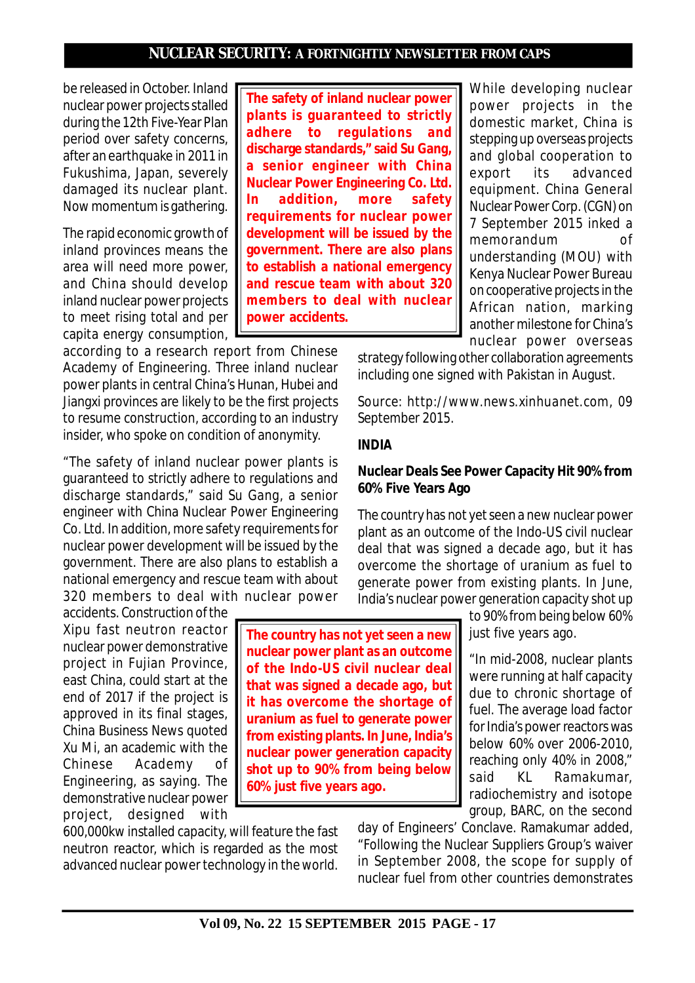be released in October. Inland nuclear power projects stalled during the 12th Five-Year Plan period over safety concerns, after an earthquake in 2011 in Fukushima, Japan, severely damaged its nuclear plant. Now momentum is gathering.

The rapid economic growth of inland provinces means the area will need more power, and China should develop inland nuclear power projects to meet rising total and per capita energy consumption,

according to a research report from Chinese Academy of Engineering. Three inland nuclear power plants in central China's Hunan, Hubei and Jiangxi provinces are likely to be the first projects to resume construction, according to an industry insider, who spoke on condition of anonymity.

"The safety of inland nuclear power plants is guaranteed to strictly adhere to regulations and discharge standards," said Su Gang, a senior engineer with China Nuclear Power Engineering Co. Ltd. In addition, more safety requirements for nuclear power development will be issued by the government. There are also plans to establish a national emergency and rescue team with about 320 members to deal with nuclear power

accidents. Construction of the Xipu fast neutron reactor nuclear power demonstrative project in Fujian Province, east China, could start at the end of 2017 if the project is approved in its final stages, China Business News quoted Xu Mi, an academic with the Chinese Academy of Engineering, as saying. The demonstrative nuclear power project, designed with

600,000kw installed capacity, will feature the fast neutron reactor, which is regarded as the most advanced nuclear power technology in the world.

**The safety of inland nuclear power plants is guaranteed to strictly adhere to regulations and discharge standards," said Su Gang, a senior engineer with China Nuclear Power Engineering Co. Ltd. In addition, more safety requirements for nuclear power development will be issued by the government. There are also plans to establish a national emergency and rescue team with about 320 members to deal with nuclear power accidents.**

While developing nuclear power projects in the domestic market, China is stepping up overseas projects and global cooperation to export its advanced equipment. China General Nuclear Power Corp. (CGN) on 7 September 2015 inked a memorandum of understanding (MOU) with Kenya Nuclear Power Bureau on cooperative projects in the African nation, marking another milestone for China's nuclear power overseas

strategy following other collaboration agreements including one signed with Pakistan in August.

*Source: http://www.news.xinhuanet.com, 09 September 2015.*

#### **INDIA**

#### **Nuclear Deals See Power Capacity Hit 90% from 60% Five Years Ago**

The country has not yet seen a new nuclear power plant as an outcome of the Indo-US civil nuclear deal that was signed a decade ago, but it has overcome the shortage of uranium as fuel to generate power from existing plants. In June, India's nuclear power generation capacity shot up

> to 90% from being below 60% just five years ago.

"In mid-2008, nuclear plants were running at half capacity due to chronic shortage of fuel. The average load factor for India's power reactors was below 60% over 2006-2010, reaching only 40% in 2008," said KL Ramakumar, radiochemistry and isotope group, BARC, on the second

day of Engineers' Conclave. Ramakumar added, "Following the Nuclear Suppliers Group's waiver in September 2008, the scope for supply of nuclear fuel from other countries demonstrates

**Vol 09, No. 22 15 SEPTEMBER 2015 PAGE - 17**

**The country has not yet seen a new nuclear power plant as an outcome of the Indo-US civil nuclear deal that was signed a decade ago, but it has overcome the shortage of uranium as fuel to generate power from existing plants. In June, India's nuclear power generation capacity shot up to 90% from being below 60% just five years ago.**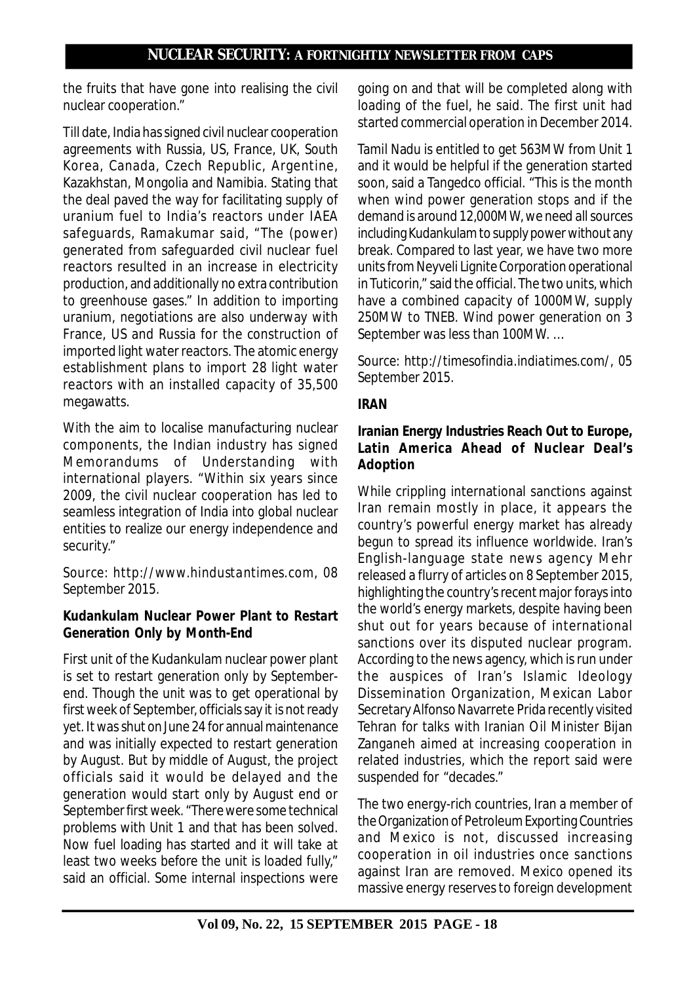the fruits that have gone into realising the civil nuclear cooperation."

Till date, India has signed civil nuclear cooperation agreements with Russia, US, France, UK, South Korea, Canada, Czech Republic, Argentine, Kazakhstan, Mongolia and Namibia. Stating that the deal paved the way for facilitating supply of uranium fuel to India's reactors under IAEA safeguards, Ramakumar said, "The (power) generated from safeguarded civil nuclear fuel reactors resulted in an increase in electricity production, and additionally no extra contribution to greenhouse gases." In addition to importing uranium, negotiations are also underway with France, US and Russia for the construction of imported light water reactors. The atomic energy establishment plans to import 28 light water reactors with an installed capacity of 35,500 megawatts.

With the aim to localise manufacturing nuclear components, the Indian industry has signed Memorandums of Understanding with international players. "Within six years since 2009, the civil nuclear cooperation has led to seamless integration of India into global nuclear entities to realize our energy independence and security."

*Source: http://www.hindustantimes.com, 08 September 2015.*

# **Kudankulam Nuclear Power Plant to Restart Generation Only by Month-End**

First unit of the Kudankulam nuclear power plant is set to restart generation only by Septemberend. Though the unit was to get operational by first week of September, officials say it is not ready yet. It was shut on June 24 for annual maintenance and was initially expected to restart generation by August. But by middle of August, the project officials said it would be delayed and the generation would start only by August end or September first week. "There were some technical problems with Unit 1 and that has been solved. Now fuel loading has started and it will take at least two weeks before the unit is loaded fully," said an official. Some internal inspections were going on and that will be completed along with loading of the fuel, he said. The first unit had started commercial operation in December 2014.

Tamil Nadu is entitled to get 563MW from Unit 1 and it would be helpful if the generation started soon, said a Tangedco official. "This is the month when wind power generation stops and if the demand is around 12,000MW, we need all sources including Kudankulam to supply power without any break. Compared to last year, we have two more units from Neyveli Lignite Corporation operational in Tuticorin," said the official. The two units, which have a combined capacity of 1000MW, supply 250MW to TNEB. Wind power generation on 3 September was less than 100MW. …

*Source: http://timesofindia.indiatimes.com/, 05 September 2015.*

# **IRAN**

# **Iranian Energy Industries Reach Out to Europe, Latin America Ahead of Nuclear Deal's Adoption**

While crippling international sanctions against Iran remain mostly in place, it appears the country's powerful energy market has already begun to spread its influence worldwide. Iran's English-language state news agency Mehr released a flurry of articles on 8 September 2015, highlighting the country's recent major forays into the world's energy markets, despite having been shut out for years because of international sanctions over its disputed nuclear program. According to the news agency, which is run under the auspices of Iran's Islamic Ideology Dissemination Organization, Mexican Labor Secretary Alfonso Navarrete Prida recently visited Tehran for talks with Iranian Oil Minister Bijan Zanganeh aimed at increasing cooperation in related industries, which the report said were suspended for "decades."

The two energy-rich countries, Iran a member of the Organization of Petroleum Exporting Countries and Mexico is not, discussed increasing cooperation in oil industries once sanctions against Iran are removed. Mexico opened its massive energy reserves to foreign development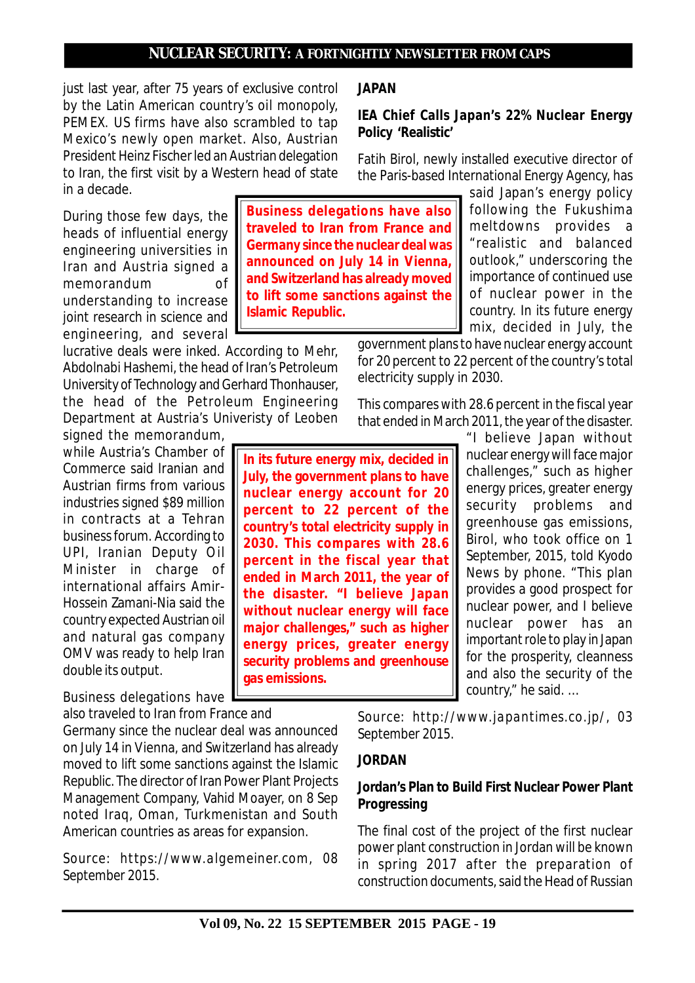just last year, after 75 years of exclusive control by the Latin American country's oil monopoly, PEMEX. US firms have also scrambled to tap Mexico's newly open market. Also, Austrian President Heinz Fischer led an Austrian delegation to Iran, the first visit by a Western head of state in a decade.

During those few days, the heads of influential energy engineering universities in Iran and Austria signed a memorandum of understanding to increase joint research in science and engineering, and several

lucrative deals were inked. According to Mehr, Abdolnabi Hashemi, the head of Iran's Petroleum University of Technology and Gerhard Thonhauser, the head of the Petroleum Engineering Department at Austria's Univeristy of Leoben

signed the memorandum, while Austria's Chamber of Commerce said Iranian and Austrian firms from various industries signed \$89 million in contracts at a Tehran business forum. According to UPI, Iranian Deputy Oil Minister in charge of international affairs Amir-Hossein Zamani-Nia said the country expected Austrian oil and natural gas company OMV was ready to help Iran double its output.

Business delegations have also traveled to Iran from France and

Germany since the nuclear deal was announced on July 14 in Vienna, and Switzerland has already moved to lift some sanctions against the Islamic Republic. The director of Iran Power Plant Projects Management Company, Vahid Moayer, on 8 Sep noted Iraq, Oman, Turkmenistan and South American countries as areas for expansion.

*Source: https://www.algemeiner.com, 08 September 2015.*

**JAPAN**

### **IEA Chief Calls Japan's 22% Nuclear Energy Policy 'Realistic'**

Fatih Birol, newly installed executive director of the Paris-based International Energy Agency, has

> said Japan's energy policy following the Fukushima meltdowns provides a "realistic and balanced outlook," underscoring the importance of continued use of nuclear power in the country. In its future energy mix, decided in July, the

government plans to have nuclear energy account for 20 percent to 22 percent of the country's total electricity supply in 2030.

This compares with 28.6 percent in the fiscal year that ended in March 2011, the year of the disaster.

**In its future energy mix, decided in July, the government plans to have nuclear energy account for 20 percent to 22 percent of the country's total electricity supply in 2030. This compares with 28.6 percent in the fiscal year that ended in March 2011, the year of the disaster. "I believe Japan without nuclear energy will face major challenges," such as higher energy prices, greater energy security problems and greenhouse gas emissions.**

"I believe Japan without nuclear energy will face major challenges," such as higher energy prices, greater energy security problems and greenhouse gas emissions, Birol, who took office on 1 September, 2015, told Kyodo News by phone. "This plan provides a good prospect for nuclear power, and I believe nuclear power has an important role to play in Japan for the prosperity, cleanness and also the security of the country," he said. …

*Source: http://www.japantimes.co.jp/, 03 September 2015.*

### **JORDAN**

## **Jordan's Plan to Build First Nuclear Power Plant Progressing**

The final cost of the project of the first nuclear power plant construction in Jordan will be known in spring 2017 after the preparation of construction documents, said the Head of Russian

**Vol 09, No. 22 15 SEPTEMBER 2015 PAGE - 19**

**Business delegations have also traveled to Iran from France and Germany since the nuclear deal was announced on July 14 in Vienna, and Switzerland has already moved to lift some sanctions against the Islamic Republic.**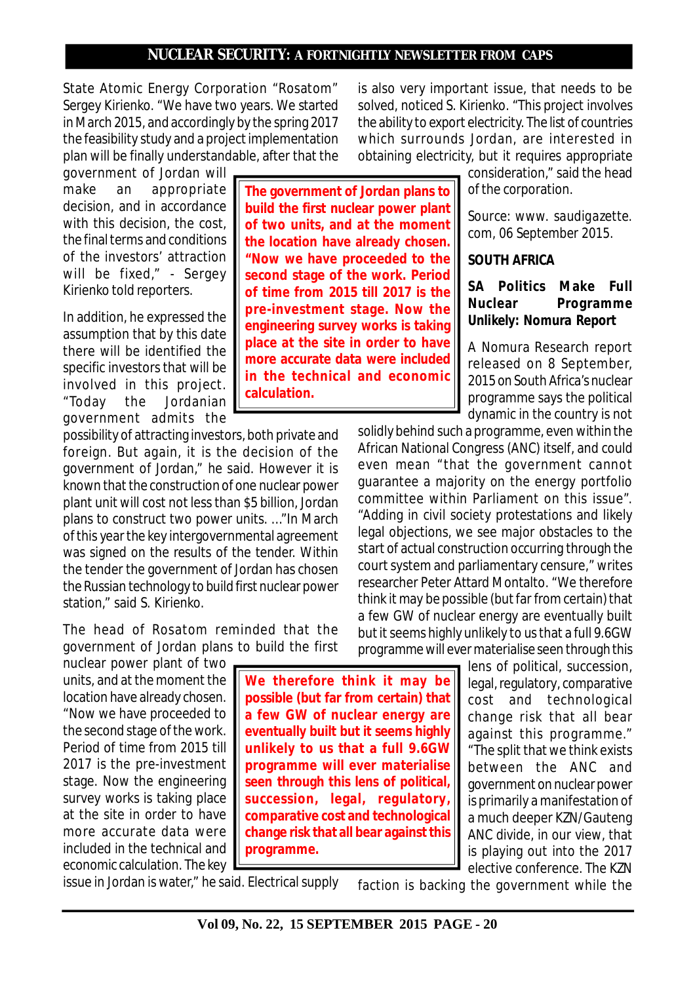**The government of Jordan plans to build the first nuclear power plant of two units, and at the moment the location have already chosen. "Now we have proceeded to the second stage of the work. Period of time from 2015 till 2017 is the pre-investment stage. Now the engineering survey works is taking place at the site in order to have more accurate data were included in the technical and economic**

State Atomic Energy Corporation "Rosatom" Sergey Kirienko. "We have two years. We started in March 2015, and accordingly by the spring 2017 the feasibility study and a project implementation plan will be finally understandable, after that the

government of Jordan will make an appropriate decision, and in accordance with this decision, the cost, the final terms and conditions of the investors' attraction will be fixed," - Sergey Kirienko told reporters.

In addition, he expressed the assumption that by this date there will be identified the specific investors that will be involved in this project. "Today the Jordanian government admits the

possibility of attracting investors, both private and foreign. But again, it is the decision of the government of Jordan," he said. However it is known that the construction of one nuclear power plant unit will cost not less than \$5 billion, Jordan plans to construct two power units. …"In March of this year the key intergovernmental agreement was signed on the results of the tender. Within the tender the government of Jordan has chosen the Russian technology to build first nuclear power station," said S. Kirienko.

**calculation.**

The head of Rosatom reminded that the government of Jordan plans to build the first

nuclear power plant of two units, and at the moment the location have already chosen. "Now we have proceeded to the second stage of the work. Period of time from 2015 till 2017 is the pre-investment stage. Now the engineering survey works is taking place at the site in order to have more accurate data were included in the technical and economic calculation. The key

**We therefore think it may be possible (but far from certain) that a few GW of nuclear energy are eventually built but it seems highly unlikely to us that a full 9.6GW programme will ever materialise seen through this lens of political'** succession, legal, regulatory, **comparative cost and technological change risk that all bear against this programme.**

is also very important issue, that needs to be solved, noticed S. Kirienko. "This project involves the ability to export electricity. The list of countries which surrounds Jordan, are interested in obtaining electricity, but it requires appropriate

consideration," said the head of the corporation.

*Source: www. saudigazette. com, 06 September 2015.*

## **SOUTH AFRICA**

## **SA Politics Make Full Nuclear Programme Unlikely: Nomura Report**

A Nomura Research report released on 8 September, 2015 on South Africa's nuclear programme says the political dynamic in the country is not

solidly behind such a programme, even within the African National Congress (ANC) itself, and could even mean "that the government cannot guarantee a majority on the energy portfolio committee within Parliament on this issue". "Adding in civil society protestations and likely legal objections, we see major obstacles to the start of actual construction occurring through the court system and parliamentary censure," writes researcher Peter Attard Montalto. "We therefore think it may be possible (but far from certain) that a few GW of nuclear energy are eventually built but it seems highly unlikely to us that a full 9.6GW programme will ever materialise seen through this

lens of political, succession, legal, regulatory, comparative cost and technological change risk that all bear against this programme." "The split that we think exists between the ANC and government on nuclear power is primarily a manifestation of a much deeper KZN/Gauteng ANC divide, in our view, that is playing out into the 2017 elective conference. The KZN

issue in Jordan is water," he said. Electrical supply faction is backing the government while the

**Vol 09, No. 22, 15 SEPTEMBER 2015 PAGE - 20**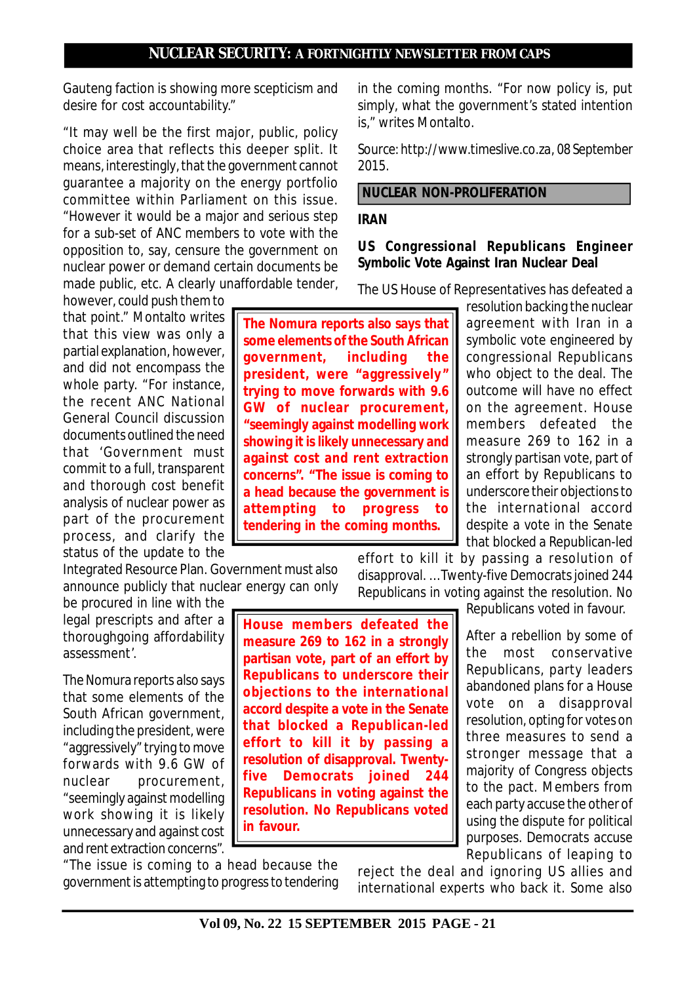Gauteng faction is showing more scepticism and desire for cost accountability."

"It may well be the first major, public, policy choice area that reflects this deeper split. It means, interestingly, that the government cannot guarantee a majority on the energy portfolio committee within Parliament on this issue. "However it would be a major and serious step for a sub-set of ANC members to vote with the opposition to, say, censure the government on nuclear power or demand certain documents be made public, etc. A clearly unaffordable tender,

however, could push them to that point." Montalto writes that this view was only a partial explanation, however, and did not encompass the whole party. "For instance, the recent ANC National General Council discussion documents outlined the need that 'Government must commit to a full, transparent and thorough cost benefit analysis of nuclear power as part of the procurement process, and clarify the status of the update to the

Integrated Resource Plan. Government must also announce publicly that nuclear energy can only

be procured in line with the legal prescripts and after a thoroughgoing affordability assessment'.

The Nomura reports also says that some elements of the South African government, including the president, were "aggressively" trying to move forwards with 9.6 GW of nuclear procurement, "seemingly against modelling work showing it is likely unnecessary and against cost and rent extraction concerns".

"The issue is coming to a head because the government is attempting to progress to tendering in the coming months. "For now policy is, put simply, what the government's stated intention is." writes Montalto.

*Source: http://www.timeslive.co.za, 08 September 2015.*

## **NUCLEAR NON-PROLIFERATION**

### **IRAN**

### **US Congressional Republicans Engineer Symbolic Vote Against Iran Nuclear Deal**

The US House of Representatives has defeated a

**The Nomura reports also says that some elements of the South African government' including the** president, were "aggressively" **trying to move forwards with 9.6 GW** of nuclear procurement, **"seemingly against modelling work showing it is likely unnecessary and against cost and rent extraction concerns". "The issue is coming to a head because the government is attempting to progress to tendering in the coming months.**

resolution backing the nuclear agreement with Iran in a symbolic vote engineered by congressional Republicans who object to the deal. The outcome will have no effect on the agreement. House members defeated the measure 269 to 162 in a strongly partisan vote, part of an effort by Republicans to underscore their objections to the international accord despite a vote in the Senate that blocked a Republican-led

effort to kill it by passing a resolution of disapproval. … Twenty-five Democrats joined 244 Republicans in voting against the resolution. No

Republicans voted in favour.

After a rebellion by some of the most conservative Republicans, party leaders abandoned plans for a House vote on a disapproval resolution, opting for votes on three measures to send a stronger message that a majority of Congress objects to the pact. Members from each party accuse the other of using the dispute for political purposes. Democrats accuse Republicans of leaping to

reject the deal and ignoring US allies and international experts who back it. Some also

**effort to kill it by passing a resolution of disapproval. Twentyfive Democrats joined 244 Republicans in voting against the resolution. No Republicans voted in favour.**

**House members defeated the measure 269 to 162 in a strongly partisan vote, part of an effort by Republicans to underscore their objections to the international accord despite a vote in the Senate that blocked a Republican-led**

**Vol 09, No. 22 15 SEPTEMBER 2015 PAGE - 21**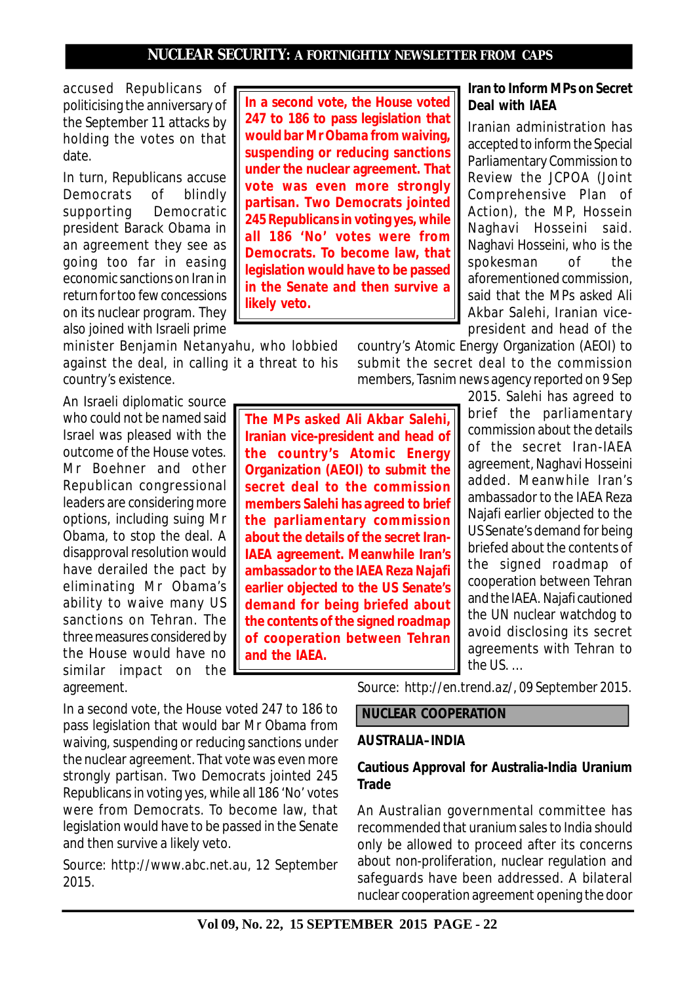accused Republicans of politicising the anniversary of the September 11 attacks by holding the votes on that date.

In turn, Republicans accuse Democrats of blindly supporting Democratic president Barack Obama in an agreement they see as going too far in easing economic sanctions on Iran in return for too few concessions on its nuclear program. They also joined with Israeli prime

minister Benjamin Netanyahu, who lobbied against the deal, in calling it a threat to his country's existence.

An Israeli diplomatic source who could not be named said Israel was pleased with the outcome of the House votes. Mr Boehner and other Republican congressional leaders are considering more options, including suing Mr Obama, to stop the deal. A disapproval resolution would have derailed the pact by eliminating Mr Obama's ability to waive many US sanctions on Tehran. The three measures considered by the House would have no similar impact on the agreement.

In a second vote, the House voted 247 to 186 to pass legislation that would bar Mr Obama from waiving, suspending or reducing sanctions under the nuclear agreement. That vote was even more strongly partisan. Two Democrats jointed 245 Republicans in voting yes, while all 186 'No' votes were from Democrats. To become law, that legislation would have to be passed in the Senate and then survive a likely veto.

*Source: http://www.abc.net.au, 12 September 2015.*

**In a second vote, the House voted 247 to 186 to pass legislation that would bar Mr Obama from waiving, suspending or reducing sanctions under the nuclear agreement. That vote was even more strongly partisan. Two Democrats jointed 245 Republicans in voting yes, while all 186 'No' votes were from Democrats. To become law, that legislation would have to be passed in the Senate and then survive a likely veto.**

> country's Atomic Energy Organization (AEOI) to submit the secret deal to the commission members, Tasnim news agency reported on 9 Sep

**The MPs asked Ali Akbar Salehi, Iranian vice-president and head of the country's Atomic Energy Organization (AEOI) to submit the secret deal to the commission members Salehi has agreed to brief the parliamentary commission about the details of the secret Iran-IAEA agreement. Meanwhile Iran's ambassador to the IAEA Reza Najafi earlier objected to the US Senate's demand for being briefed about the contents of the signed roadmap of cooperation between Tehran and the IAEA.**

2015. Salehi has agreed to brief the parliamentary commission about the details of the secret Iran-IAEA agreement, Naghavi Hosseini added. Meanwhile Iran's ambassador to the IAEA Reza Najafi earlier objected to the US Senate's demand for being briefed about the contents of the signed roadmap of cooperation between Tehran and the IAEA. Najafi cautioned the UN nuclear watchdog to avoid disclosing its secret agreements with Tehran to the US. …

*Source: http://en.trend.az/, 09 September 2015.*

# **NUCLEAR COOPERATION**

#### **AUSTRALIA–INDIA**

### **Cautious Approval for Australia-India Uranium Trade**

An Australian governmental committee has recommended that uranium sales to India should only be allowed to proceed after its concerns about non-proliferation, nuclear regulation and safeguards have been addressed. A bilateral nuclear cooperation agreement opening the door

## **Iran to Inform MPs on Secret Deal with IAEA**

Iranian administration has accepted to inform the Special Parliamentary Commission to Review the JCPOA (Joint Comprehensive Plan of Action), the MP, Hossein Naghavi Hosseini said. Naghavi Hosseini, who is the spokesman of the aforementioned commission, said that the MPs asked Ali Akbar Salehi, Iranian vicepresident and head of the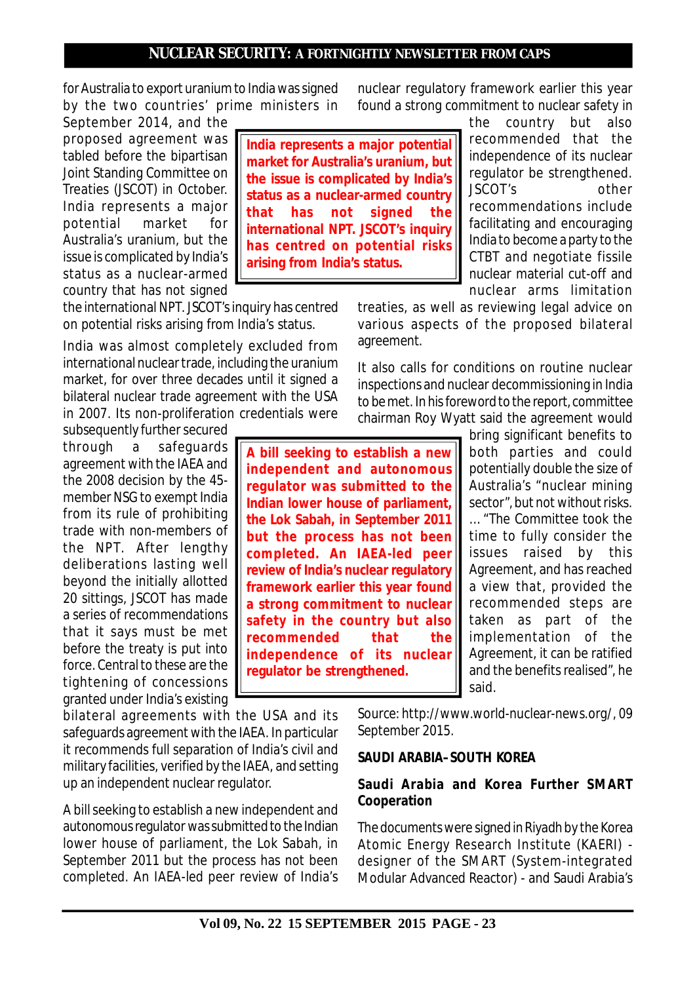for Australia to export uranium to India was signed by the two countries' prime ministers in

September 2014, and the proposed agreement was tabled before the bipartisan Joint Standing Committee on Treaties (JSCOT) in October. India represents a major potential market for Australia's uranium, but the issue is complicated by India's status as a nuclear-armed country that has not signed

the international NPT. JSCOT's inquiry has centred on potential risks arising from India's status.

India was almost completely excluded from international nuclear trade, including the uranium market, for over three decades until it signed a bilateral nuclear trade agreement with the USA in 2007. Its non-proliferation credentials were

subsequently further secured through a safeguards agreement with the IAEA and the 2008 decision by the 45 member NSG to exempt India from its rule of prohibiting trade with non-members of the NPT. After lengthy deliberations lasting well beyond the initially allotted 20 sittings, JSCOT has made a series of recommendations that it says must be met before the treaty is put into force. Central to these are the tightening of concessions granted under India's existing

bilateral agreements with the USA and its safeguards agreement with the IAEA. In particular it recommends full separation of India's civil and military facilities, verified by the IAEA, and setting up an independent nuclear regulator.

A bill seeking to establish a new independent and autonomous regulator was submitted to the Indian lower house of parliament, the Lok Sabah, in September 2011 but the process has not been completed. An IAEA-led peer review of India's

**India represents a major potential market for Australia's uranium, but the issue is complicated by India's status as a nuclear-armed country that has not signed the international NPT. JSCOT's inquiry has centred on potential risks arising from India's status.**

nuclear regulatory framework earlier this year found a strong commitment to nuclear safety in

> the country but also recommended that the independence of its nuclear regulator be strengthened. JSCOT's other recommendations include facilitating and encouraging India to become a party to the CTBT and negotiate fissile nuclear material cut-off and nuclear arms limitation

treaties, as well as reviewing legal advice on various aspects of the proposed bilateral agreement.

It also calls for conditions on routine nuclear inspections and nuclear decommissioning in India to be met. In his foreword to the report, committee chairman Roy Wyatt said the agreement would

**A bill seeking to establish a new independent and autonomous regulator was submitted to the Indian lower house of parliament, the Lok Sabah, in September 2011 but the process has not been completed. An IAEA-led peer review of India's nuclear regulatory framework earlier this year found a strong commitment to nuclear safety in the country but also recommended that the independence of its nuclear regulator be strengthened.**

bring significant benefits to both parties and could potentially double the size of Australia's "nuclear mining sector", but not without risks. … "The Committee took the

time to fully consider the issues raised by this Agreement, and has reached a view that, provided the recommended steps are taken as part of the implementation of the Agreement, it can be ratified and the benefits realised", he said.

*Source: http://www.world-nuclear-news.org/, 09 September 2015.*

#### **SAUDI ARABIA–SOUTH KOREA**

## **Saudi Arabia and Korea Further SMART Cooperation**

The documents were signed in Riyadh by the Korea Atomic Energy Research Institute (KAERI) designer of the SMART (System-integrated Modular Advanced Reactor) - and Saudi Arabia's

**Vol 09, No. 22 15 SEPTEMBER 2015 PAGE - 23**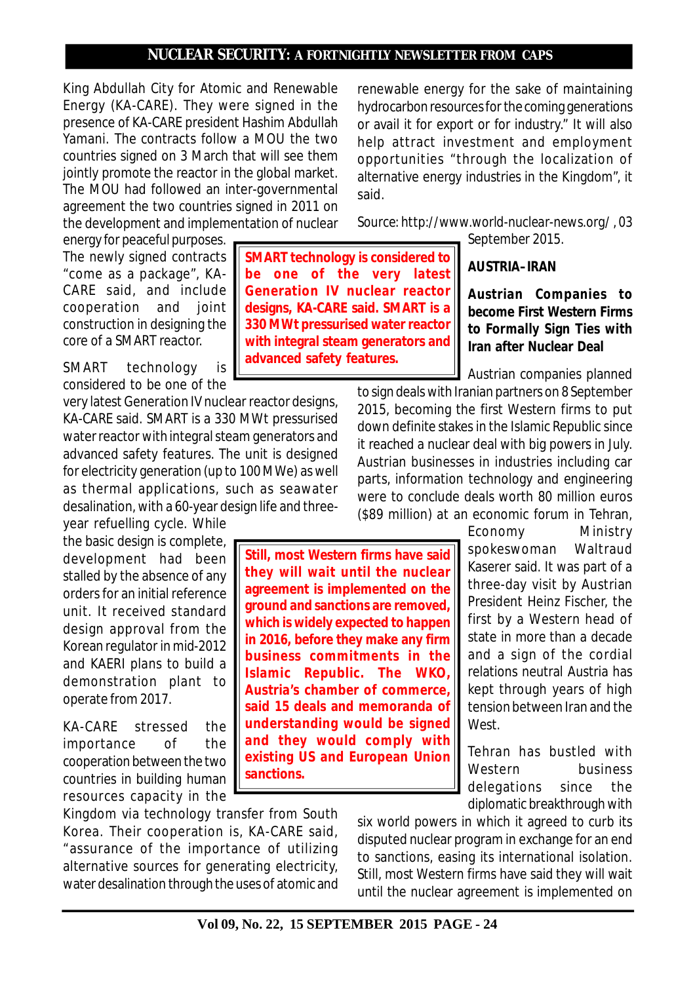**SMART technology is considered to be one of the very latest Generation IV nuclear reactor designs, KA-CARE said. SMART is a 330 MWt pressurised water reactor with integral steam generators and**

**advanced safety features.**

King Abdullah City for Atomic and Renewable Energy (KA-CARE). They were signed in the presence of KA-CARE president Hashim Abdullah Yamani. The contracts follow a MOU the two countries signed on 3 March that will see them jointly promote the reactor in the global market. The MOU had followed an inter-governmental agreement the two countries signed in 2011 on the development and implementation of nuclear

energy for peaceful purposes. The newly signed contracts "come as a package", KA-CARE said, and include cooperation and joint construction in designing the core of a SMART reactor.

SMART technology is considered to be one of the

very latest Generation IV nuclear reactor designs, KA-CARE said. SMART is a 330 MWt pressurised water reactor with integral steam generators and advanced safety features. The unit is designed for electricity generation (up to 100 MWe) as well as thermal applications, such as seawater desalination, with a 60-year design life and threeyear refuelling cycle. While

the basic design is complete, development had been stalled by the absence of any orders for an initial reference unit. It received standard design approval from the Korean regulator in mid-2012 and KAERI plans to build a demonstration plant to operate from 2017.

KA-CARE stressed the importance of the cooperation between the two countries in building human resources capacity in the

Kingdom via technology transfer from South Korea. Their cooperation is, KA-CARE said, "assurance of the importance of utilizing alternative sources for generating electricity, water desalination through the uses of atomic and renewable energy for the sake of maintaining hydrocarbon resources for the coming generations or avail it for export or for industry." It will also help attract investment and employment opportunities "through the localization of alternative energy industries in the Kingdom", it said.

*Source: http://www.world-nuclear-news.org/ , 03 September 2015.*

## **AUSTRIA–IRAN**

# **Austrian Companies to become First Western Firms to Formally Sign Ties with Iran after Nuclear Deal**

Austrian companies planned

to sign deals with Iranian partners on 8 September 2015, becoming the first Western firms to put down definite stakes in the Islamic Republic since it reached a nuclear deal with big powers in July. Austrian businesses in industries including car parts, information technology and engineering were to conclude deals worth 80 million euros (\$89 million) at an economic forum in Tehran,

**Still, most Western firms have said they will wait until the nuclear agreement is implemented on the ground and sanctions are removed, which is widely expected to happen in 2016, before they make any firm business commitments in the Islamic Republic. The WKO, Austria's chamber of commerce, said 15 deals and memoranda of understanding would be signed and they would comply with existing US and European Union sanctions.**

Economy Ministry spokeswoman Waltraud Kaserer said. It was part of a three-day visit by Austrian President Heinz Fischer, the first by a Western head of state in more than a decade and a sign of the cordial relations neutral Austria has kept through years of high tension between Iran and the West.

Tehran has bustled with Western business delegations since the diplomatic breakthrough with

six world powers in which it agreed to curb its disputed nuclear program in exchange for an end to sanctions, easing its international isolation. Still, most Western firms have said they will wait until the nuclear agreement is implemented on

**Vol 09, No. 22, 15 SEPTEMBER 2015 PAGE - 24**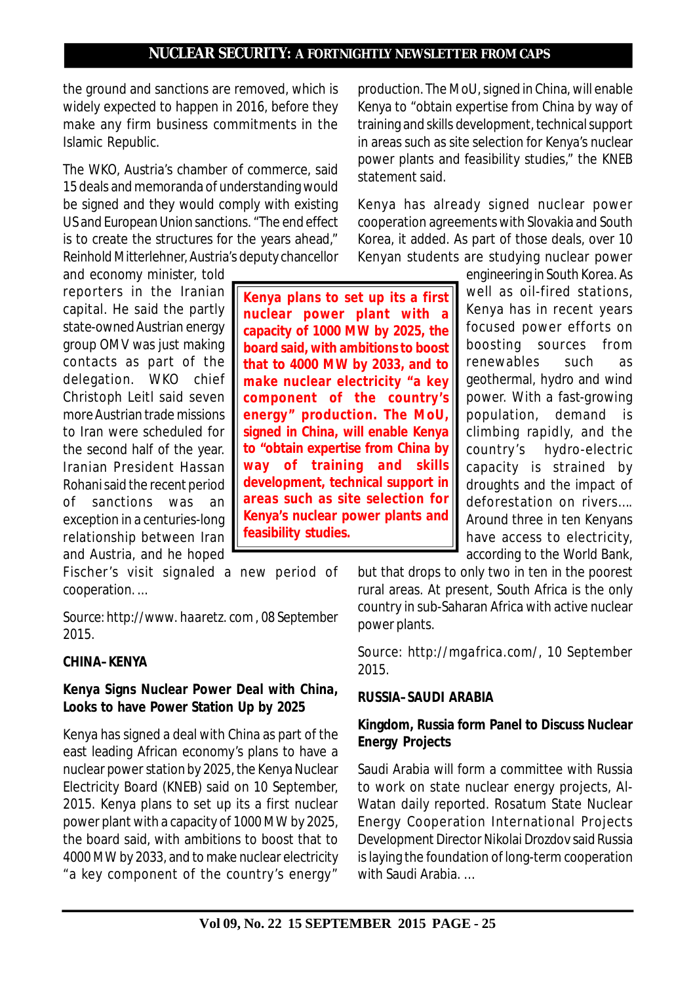the ground and sanctions are removed, which is widely expected to happen in 2016, before they make any firm business commitments in the Islamic Republic.

The WKO, Austria's chamber of commerce, said 15 deals and memoranda of understanding would be signed and they would comply with existing US and European Union sanctions. "The end effect is to create the structures for the years ahead," Reinhold Mitterlehner, Austria's deputy chancellor

and economy minister, told reporters in the Iranian capital. He said the partly state-owned Austrian energy group OMV was just making contacts as part of the delegation. WKO chief Christoph Leitl said seven more Austrian trade missions to Iran were scheduled for the second half of the year. Iranian President Hassan Rohani said the recent period of sanctions was an exception in a centuries-long relationship between Iran and Austria, and he hoped

Fischer's visit signaled a new period of cooperation. ...

*Source: http://www. haaretz. com , 08 September 2015.*

#### **CHINA–KENYA**

## **Kenya Signs Nuclear Power Deal with China, Looks to have Power Station Up by 2025**

Kenya has signed a deal with China as part of the east leading African economy's plans to have a nuclear power station by 2025, the Kenya Nuclear Electricity Board (KNEB) said on 10 September, 2015. Kenya plans to set up its a first nuclear power plant with a capacity of 1000 MW by 2025, the board said, with ambitions to boost that to 4000 MW by 2033, and to make nuclear electricity "a key component of the country's energy"

production. The MoU, signed in China, will enable Kenya to "obtain expertise from China by way of training and skills development, technical support in areas such as site selection for Kenya's nuclear power plants and feasibility studies," the KNEB statement said.

Kenya has already signed nuclear power cooperation agreements with Slovakia and South Korea, it added. As part of those deals, over 10 Kenyan students are studying nuclear power

**Kenya plans to set up its a first nuclear power plant with a capacity of 1000 MW by 2025, the board said, with ambitions to boost that to 4000 MW by 2033, and to make nuclear electricity "a key component of the country's energy" production. The MoU, signed in China, will enable Kenya to "obtain expertise from China by way of training and skills development, technical support in areas such as site selection for Kenya's nuclear power plants and feasibility studies.**

engineering in South Korea. As well as oil-fired stations, Kenya has in recent years focused power efforts on boosting sources from renewables such as geothermal, hydro and wind power. With a fast-growing population, demand is climbing rapidly, and the country's hydro-electric capacity is strained by droughts and the impact of deforestation on rivers…. Around three in ten Kenyans have access to electricity, according to the World Bank,

but that drops to only two in ten in the poorest rural areas. At present, South Africa is the only country in sub-Saharan Africa with active nuclear power plants.

*Source: http://mgafrica.com/, 10 September 2015.*

## **RUSSIA–SAUDI ARABIA**

## **Kingdom, Russia form Panel to Discuss Nuclear Energy Projects**

Saudi Arabia will form a committee with Russia to work on state nuclear energy projects, Al-Watan daily reported. Rosatum State Nuclear Energy Cooperation International Projects Development Director Nikolai Drozdov said Russia is laying the foundation of long-term cooperation with Saudi Arabia. …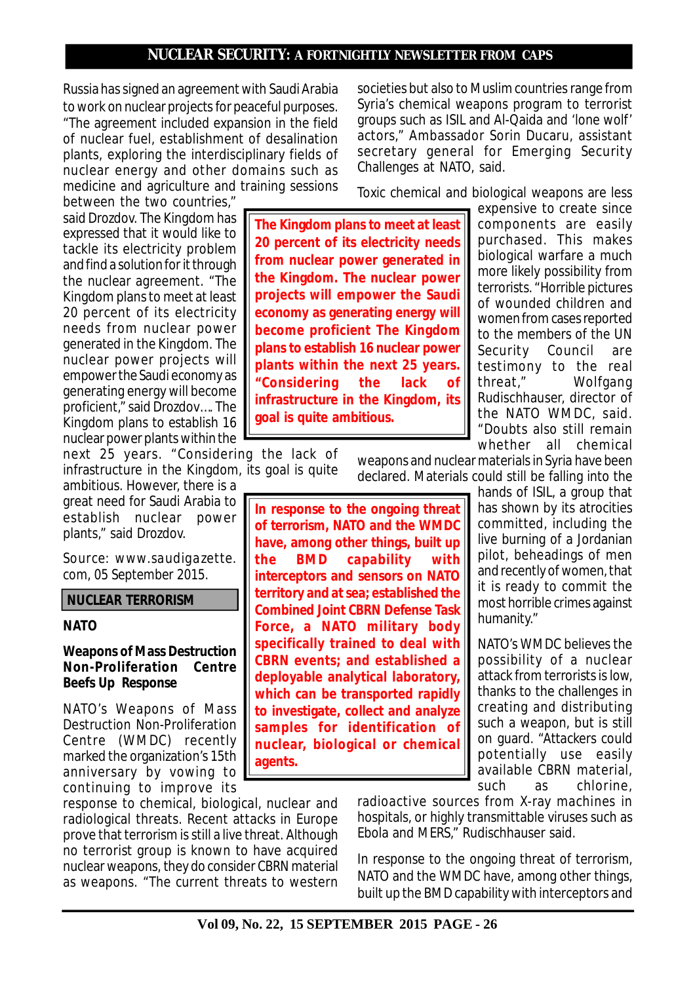Russia has signed an agreement with Saudi Arabia to work on nuclear projects for peaceful purposes. "The agreement included expansion in the field of nuclear fuel, establishment of desalination plants, exploring the interdisciplinary fields of nuclear energy and other domains such as medicine and agriculture and training sessions

between the two countries," said Drozdov. The Kingdom has expressed that it would like to tackle its electricity problem and find a solution for it through the nuclear agreement. "The Kingdom plans to meet at least 20 percent of its electricity needs from nuclear power generated in the Kingdom. The nuclear power projects will empower the Saudi economy as generating energy will become proficient," said Drozdov…. The Kingdom plans to establish 16 nuclear power plants within the

next 25 years. "Considering the lack of infrastructure in the Kingdom, its goal is quite

ambitious. However, there is a great need for Saudi Arabia to establish nuclear power plants," said Drozdov.

*Source: www.saudigazette. com, 05 September 2015.*

#### **NUCLEAR TERRORISM**

#### **NATO**

#### **Weapons of Mass Destruction Non-Proliferation Centre Beefs Up Response**

NATO's Weapons of Mass Destruction Non-Proliferation Centre (WMDC) recently marked the organization's 15th anniversary by vowing to continuing to improve its

response to chemical, biological, nuclear and radiological threats. Recent attacks in Europe prove that terrorism is still a live threat. Although no terrorist group is known to have acquired nuclear weapons, they do consider CBRN material as weapons. "The current threats to western

societies but also to Muslim countries range from Syria's chemical weapons program to terrorist groups such as ISIL and Al-Qaida and 'lone wolf' actors," Ambassador Sorin Ducaru, assistant secretary general for Emerging Security Challenges at NATO, said.

Toxic chemical and biological weapons are less

**The Kingdom plans to meet at least 20 percent of its electricity needs from nuclear power generated in the Kingdom. The nuclear power projects will empower the Saudi economy as generating energy will become proficient The Kingdom plans to establish 16 nuclear power plants within the next 25 years. "Considering the lack of infrastructure in the Kingdom, its goal is quite ambitious.**

expensive to create since components are easily purchased. This makes biological warfare a much more likely possibility from terrorists. "Horrible pictures of wounded children and women from cases reported to the members of the UN Security Council are testimony to the real threat," Wolfgang Rudischhauser, director of the NATO WMDC, said. "Doubts also still remain whether all chemical

weapons and nuclear materials in Syria have been declared. Materials could still be falling into the

**In response to the ongoing threat of terrorism, NATO and the WMDC have, among other things, built up the BMD capability with interceptors and sensors on NATO territory and at sea; established the Combined Joint CBRN Defense Task Force, a NATO military body specifically trained to deal with CBRN events; and established a deployable analytical laboratory, which can be transported rapidly to investigate, collect and analyze samples for identification of nuclear, biological or chemical agents.**

hands of ISIL, a group that has shown by its atrocities committed, including the live burning of a Jordanian pilot, beheadings of men and recently of women, that it is ready to commit the most horrible crimes against humanity."

NATO's WMDC believes the possibility of a nuclear attack from terrorists is low, thanks to the challenges in creating and distributing such a weapon, but is still on guard. "Attackers could potentially use easily available CBRN material, such as chlorine,

radioactive sources from X-ray machines in hospitals, or highly transmittable viruses such as Ebola and MERS," Rudischhauser said.

In response to the ongoing threat of terrorism, NATO and the WMDC have, among other things, built up the BMD capability with interceptors and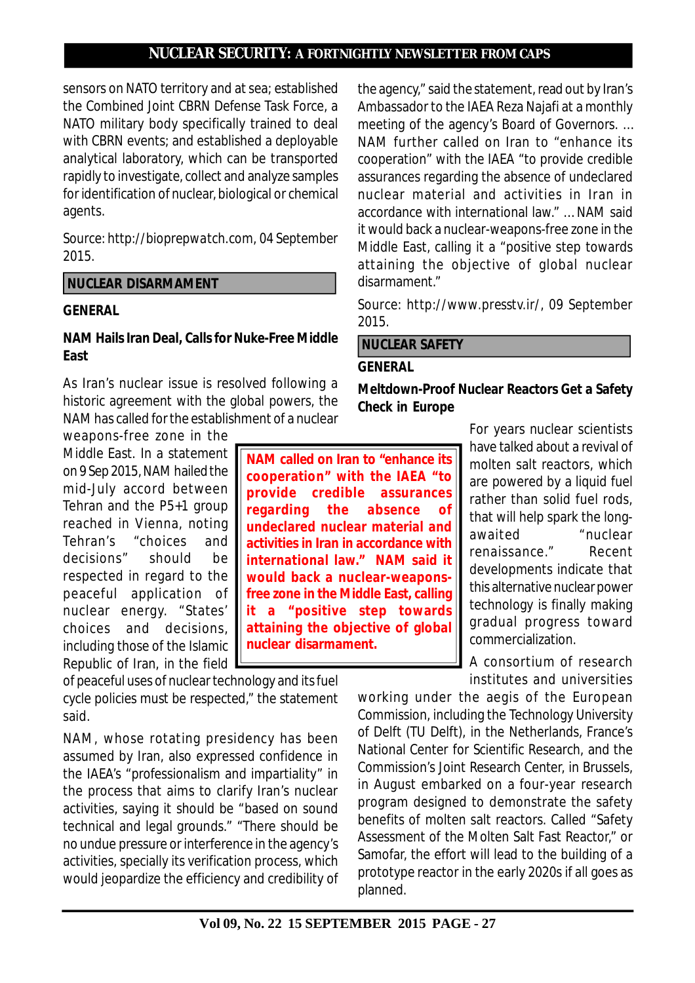sensors on NATO territory and at sea; established the Combined Joint CBRN Defense Task Force, a NATO military body specifically trained to deal with CBRN events; and established a deployable analytical laboratory, which can be transported rapidly to investigate, collect and analyze samples for identification of nuclear, biological or chemical agents.

*Source: http://bioprepwatch.com, 04 September 2015.*

## **NUCLEAR DISARMAMENT**

#### **GENERAL**

## **NAM Hails Iran Deal, Calls for Nuke-Free Middle East**

As Iran's nuclear issue is resolved following a historic agreement with the global powers, the NAM has called for the establishment of a nuclear

weapons-free zone in the Middle East. In a statement on 9 Sep 2015, NAM hailed the mid-July accord between Tehran and the P5+1 group reached in Vienna, noting Tehran's "choices and decisions" should be respected in regard to the peaceful application of nuclear energy. "States' choices and decisions, including those of the Islamic Republic of Iran, in the field

of peaceful uses of nuclear technology and its fuel cycle policies must be respected," the statement said.

NAM, whose rotating presidency has been assumed by Iran, also expressed confidence in the IAEA's "professionalism and impartiality" in the process that aims to clarify Iran's nuclear activities, saying it should be "based on sound technical and legal grounds." "There should be no undue pressure or interference in the agency's activities, specially its verification process, which would jeopardize the efficiency and credibility of the agency," said the statement, read out by Iran's Ambassador to the IAEA Reza Najafi at a monthly meeting of the agency's Board of Governors. … NAM further called on Iran to "enhance its cooperation" with the IAEA "to provide credible assurances regarding the absence of undeclared nuclear material and activities in Iran in accordance with international law." … NAM said it would back a nuclear-weapons-free zone in the Middle East, calling it a "positive step towards attaining the objective of global nuclear disarmament."

*Source: http://www.presstv.ir/, 09 September 2015.*

# **NUCLEAR SAFETY**

#### **GENERAL**

**Meltdown-Proof Nuclear Reactors Get a Safety Check in Europe**

**NAM called on Iran to "enhance its cooperation" with the IAEA "to provide credible assurances regarding the absence of undeclared nuclear material and activities in Iran in accordance with international law." NAM said it would back a nuclear-weaponsfree zone in the Middle East, calling it a "positive step towards attaining the objective of global nuclear disarmament.**

For years nuclear scientists have talked about a revival of molten salt reactors, which are powered by a liquid fuel rather than solid fuel rods, that will help spark the longawaited "nuclear renaissance." Recent developments indicate that this alternative nuclear power technology is finally making gradual progress toward commercialization.

A consortium of research institutes and universities

working under the aegis of the European Commission, including the Technology University of Delft (TU Delft), in the Netherlands, France's National Center for Scientific Research, and the Commission's Joint Research Center, in Brussels, in August embarked on a four-year research program designed to demonstrate the safety benefits of molten salt reactors. Called "Safety Assessment of the Molten Salt Fast Reactor," or Samofar, the effort will lead to the building of a prototype reactor in the early 2020s if all goes as planned.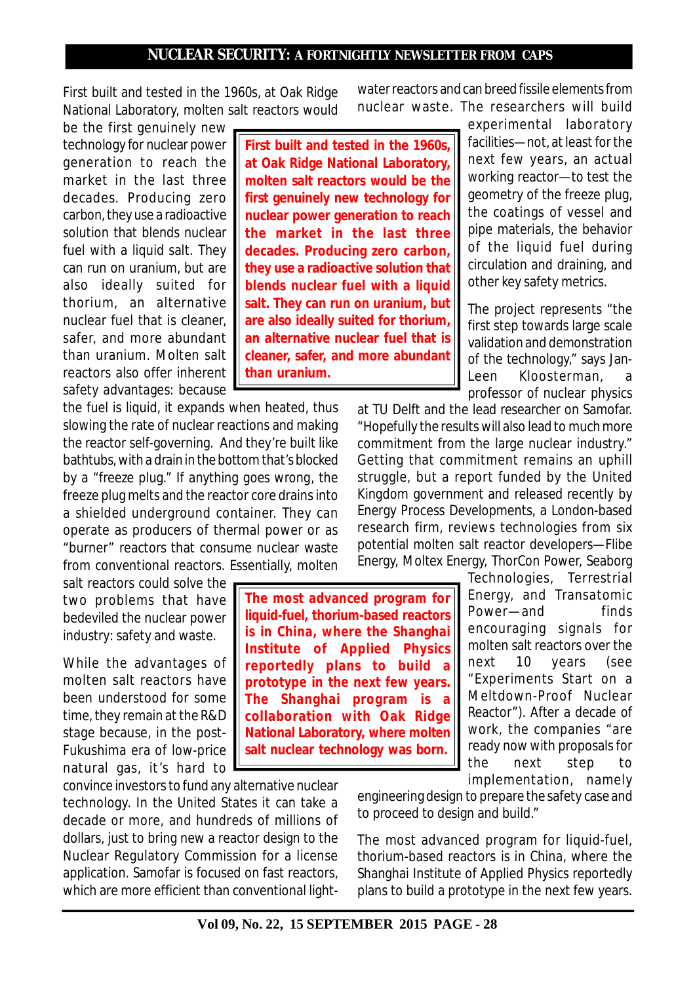First built and tested in the 1960s, at Oak Ridge National Laboratory, molten salt reactors would

be the first genuinely new technology for nuclear power generation to reach the market in the last three decades. Producing zero carbon, they use a radioactive solution that blends nuclear fuel with a liquid salt. They can run on uranium, but are also ideally suited for thorium, an alternative nuclear fuel that is cleaner, safer, and more abundant than uranium. Molten salt reactors also offer inherent safety advantages: because

the fuel is liquid, it expands when heated, thus slowing the rate of nuclear reactions and making the reactor self-governing. And they're built like bathtubs, with a drain in the bottom that's blocked by a "freeze plug." If anything goes wrong, the freeze plug melts and the reactor core drains into a shielded underground container. They can operate as producers of thermal power or as "burner" reactors that consume nuclear waste from conventional reactors. Essentially, molten

salt reactors could solve the two problems that have bedeviled the nuclear power industry: safety and waste.

While the advantages of molten salt reactors have been understood for some time, they remain at the R&D stage because, in the post-Fukushima era of low-price natural gas, it's hard to

convince investors to fund any alternative nuclear technology. In the United States it can take a decade or more, and hundreds of millions of dollars, just to bring new a reactor design to the Nuclear Regulatory Commission for a license application. Samofar is focused on fast reactors, which are more efficient than conventional light-

**First built and tested in the 1960s, at Oak Ridge National Laboratory, molten salt reactors would be the first genuinely new technology for nuclear power generation to reach the market in the last three decades. Producing zero carbon, they use a radioactive solution that blends nuclear fuel with a liquid salt. They can run on uranium, but are also ideally suited for thorium, an alternative nuclear fuel that is cleaner, safer, and more abundant than uranium.**

water reactors and can breed fissile elements from nuclear waste. The researchers will build

> experimental laboratory facilities—not, at least for the next few years, an actual working reactor—to test the geometry of the freeze plug, the coatings of vessel and pipe materials, the behavior of the liquid fuel during circulation and draining, and other key safety metrics.

> The project represents "the first step towards large scale validation and demonstration of the technology," says Jan-Leen Kloosterman, professor of nuclear physics

at TU Delft and the lead researcher on Samofar. "Hopefully the results will also lead to much more commitment from the large nuclear industry." Getting that commitment remains an uphill struggle, but a report funded by the United Kingdom government and released recently by Energy Process Developments, a London-based research firm, reviews technologies from six potential molten salt reactor developers—Flibe Energy, Moltex Energy, ThorCon Power, Seaborg

> Technologies, Terrestrial Energy, and Transatomic Power—and finds encouraging signals for molten salt reactors over the next 10 years (see "Experiments Start on a Meltdown-Proof Nuclear Reactor"). After a decade of work, the companies "are ready now with proposals for the next step to implementation, namely

engineering design to prepare the safety case and to proceed to design and build."

The most advanced program for liquid-fuel, thorium-based reactors is in China, where the Shanghai Institute of Applied Physics reportedly plans to build a prototype in the next few years.

**The most advanced program for liquid-fuel, thorium-based reactors is in China, where the Shanghai Institute of Applied Physics reportedly plans to build a prototype in the next few years. The Shanghai program is a collaboration with Oak Ridge National Laboratory, where molten salt nuclear technology was born.**

**Vol 09, No. 22, 15 SEPTEMBER 2015 PAGE - 28**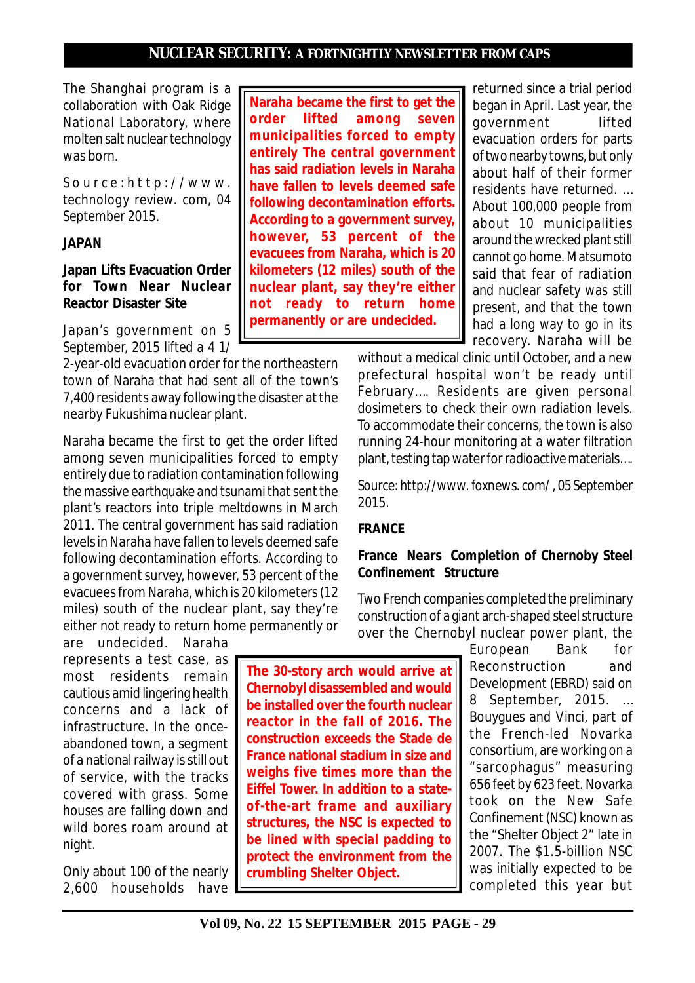The Shanghai program is a collaboration with Oak Ridge National Laboratory, where molten salt nuclear technology was born.

*S o u r c e : h t t p : / / w w w . technology review. com, 04 September 2015.*

#### **JAPAN**

### **Japan Lifts Evacuation Order for Town Near Nuclear Reactor Disaster Site**

Japan's government on 5 September, 2015 lifted a 4 1/

2-year-old evacuation order for the northeastern town of Naraha that had sent all of the town's 7,400 residents away following the disaster at the nearby Fukushima nuclear plant.

Naraha became the first to get the order lifted among seven municipalities forced to empty entirely due to radiation contamination following the massive earthquake and tsunami that sent the plant's reactors into triple meltdowns in March 2011. The central government has said radiation levels in Naraha have fallen to levels deemed safe following decontamination efforts. According to a government survey, however, 53 percent of the evacuees from Naraha, which is 20 kilometers (12 miles) south of the nuclear plant, say they're either not ready to return home permanently or

are undecided. Naraha represents a test case, as most residents remain cautious amid lingering health concerns and a lack of infrastructure. In the onceabandoned town, a segment of a national railway is still out of service, with the tracks covered with grass. Some houses are falling down and wild bores roam around at night.

Only about 100 of the nearly 2,600 households have

**Naraha became the first to get the order lifted among seven municipalities forced to empty entirely The central government has said radiation levels in Naraha have fallen to levels deemed safe following decontamination efforts. According to a government survey, however, 53 percent of the evacuees from Naraha, which is 20 kilometers (12 miles) south of the nuclear plant, say they're either not ready to return home permanently or are undecided.**

returned since a trial period began in April. Last year, the government lifted evacuation orders for parts of two nearby towns, but only about half of their former residents have returned. … About 100,000 people from about 10 municipalities around the wrecked plant still cannot go home. Matsumoto said that fear of radiation and nuclear safety was still present, and that the town had a long way to go in its recovery. Naraha will be

without a medical clinic until October, and a new prefectural hospital won't be ready until February…. Residents are given personal dosimeters to check their own radiation levels. To accommodate their concerns, the town is also running 24-hour monitoring at a water filtration plant, testing tap water for radioactive materials….

*Source: http://www. foxnews. com/ , 05 September 2015.*

## **FRANCE**

## **France Nears Completion of Chernoby Steel Confinement Structure**

Two French companies completed the preliminary construction of a giant arch-shaped steel structure over the Chernobyl nuclear power plant, the

> European Bank for Reconstruction and Development (EBRD) said on 8 September, 2015. … Bouygues and Vinci, part of the French-led Novarka consortium, are working on a "sarcophagus" measuring 656 feet by 623 feet. Novarka took on the New Safe Confinement (NSC) known as the "Shelter Object 2" late in 2007. The \$1.5-billion NSC was initially expected to be completed this year but

**The 30-story arch would arrive at Chernobyl disassembled and would be installed over the fourth nuclear reactor in the fall of 2016. The construction exceeds the Stade de France national stadium in size and weighs five times more than the Eiffel Tower. In addition to a stateof-the-art frame and auxiliary structures, the NSC is expected to be lined with special padding to protect the environment from the crumbling Shelter Object.**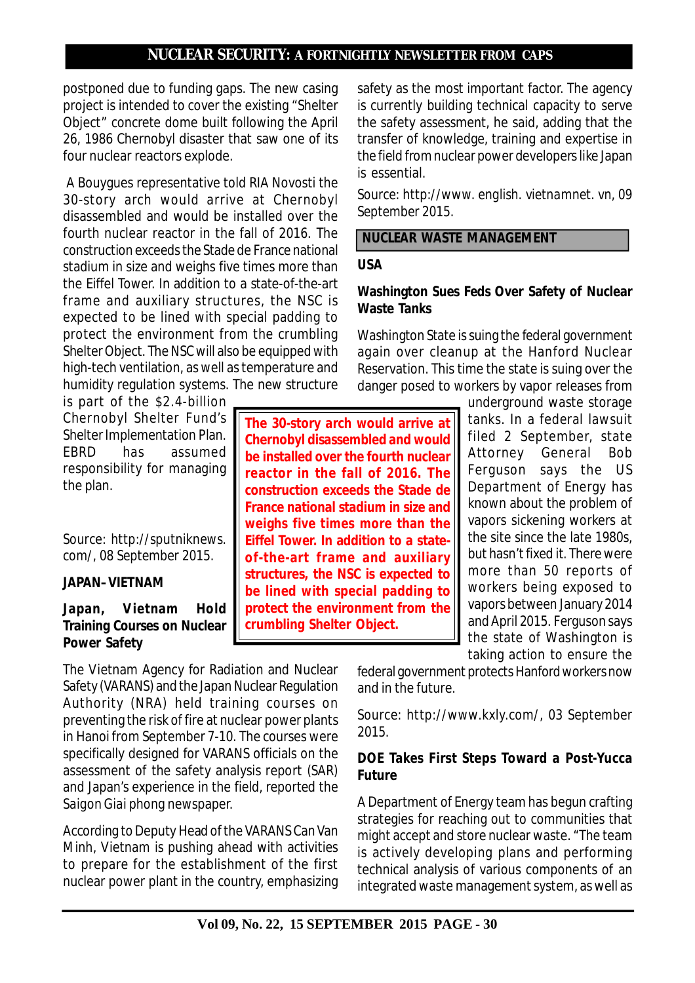postponed due to funding gaps. The new casing project is intended to cover the existing "Shelter Object" concrete dome built following the April 26, 1986 Chernobyl disaster that saw one of its four nuclear reactors explode.

 A Bouygues representative told RIA Novosti the 30-story arch would arrive at Chernobyl disassembled and would be installed over the fourth nuclear reactor in the fall of 2016. The construction exceeds the Stade de France national stadium in size and weighs five times more than the Eiffel Tower. In addition to a state-of-the-art frame and auxiliary structures, the NSC is expected to be lined with special padding to protect the environment from the crumbling Shelter Object. The NSC will also be equipped with high-tech ventilation, as well as temperature and humidity regulation systems. The new structure

is part of the \$2.4-billion Chernobyl Shelter Fund's Shelter Implementation Plan. EBRD has assumed responsibility for managing the plan.

*Source: http://sputniknews. com/, 08 September 2015.*

### **JAPAN–VIETNAM**

## Japan, Vietnam Hold **Training Courses on Nuclear Power Safety**

The Vietnam Agency for Radiation and Nuclear Safety (VARANS) and the Japan Nuclear Regulation Authority (NRA) held training courses on preventing the risk of fire at nuclear power plants in Hanoi from September 7-10. The courses were specifically designed for VARANS officials on the assessment of the safety analysis report (SAR) and Japan's experience in the field, reported the *Saigon Giai phong* newspaper.

According to Deputy Head of the VARANS Can Van Minh, Vietnam is pushing ahead with activities to prepare for the establishment of the first nuclear power plant in the country, emphasizing

safety as the most important factor. The agency is currently building technical capacity to serve the safety assessment, he said, adding that the transfer of knowledge, training and expertise in the field from nuclear power developers like Japan is essential.

*Source: http://www. english. vietnamnet. vn, 09 September 2015.*

### **NUCLEAR WASTE MANAGEMENT**

#### **USA**

**The 30-story arch would arrive at Chernobyl disassembled and would be installed over the fourth nuclear reactor in the fall of 2016. The construction exceeds the Stade de France national stadium in size and weighs five times more than the Eiffel Tower. In addition to a stateof-the-art frame and auxiliary structures, the NSC is expected to be lined with special padding to protect the environment from the**

**crumbling Shelter Object.**

### **Washington Sues Feds Over Safety of Nuclear Waste Tanks**

Washington State is suing the federal government again over cleanup at the Hanford Nuclear Reservation. This time the state is suing over the danger posed to workers by vapor releases from

> underground waste storage tanks. In a federal lawsuit filed 2 September, state Attorney General Bob Ferguson says the US Department of Energy has known about the problem of vapors sickening workers at the site since the late 1980s, but hasn't fixed it. There were more than 50 reports of workers being exposed to vapors between January 2014 and April 2015. Ferguson says the state of Washington is taking action to ensure the

federal government protects Hanford workers now and in the future.

*Source: http://www.kxly.com/, 03 September 2015.*

## **DOE Takes First Steps Toward a Post-Yucca Future**

A Department of Energy team has begun crafting strategies for reaching out to communities that might accept and store nuclear waste. "The team is actively developing plans and performing technical analysis of various components of an integrated waste management system, as well as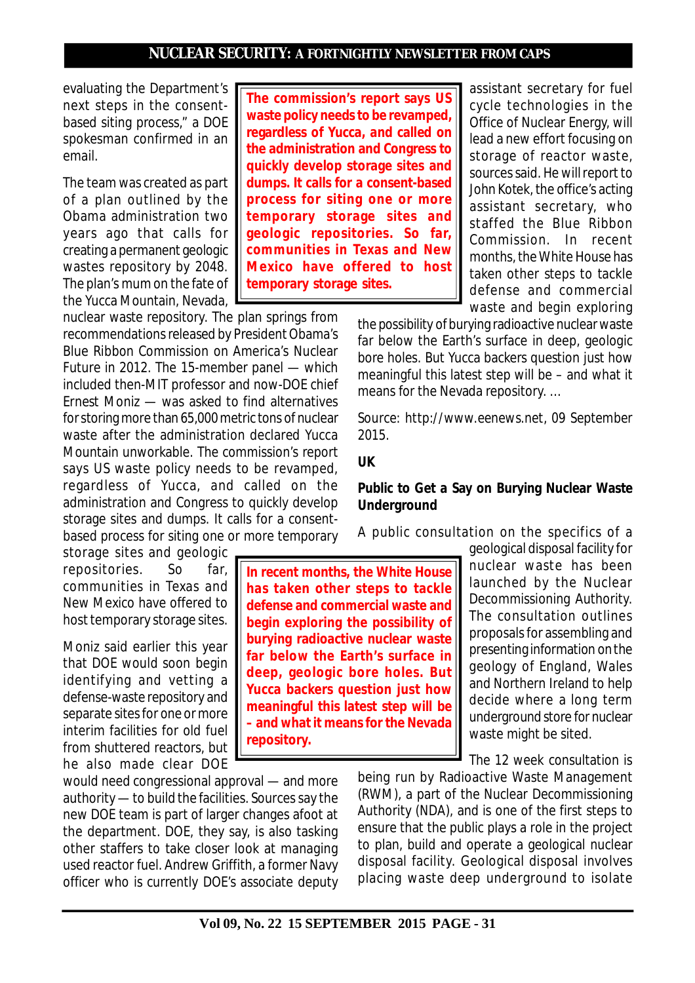evaluating the Department's next steps in the consentbased siting process," a DOE spokesman confirmed in an email.

The team was created as part of a plan outlined by the Obama administration two years ago that calls for creating a permanent geologic wastes repository by 2048. The plan's mum on the fate of the Yucca Mountain, Nevada,

nuclear waste repository. The plan springs from recommendations released by President Obama's Blue Ribbon Commission on America's Nuclear Future in 2012. The 15-member panel — which included then-MIT professor and now-DOE chief Ernest Moniz — was asked to find alternatives for storing more than 65,000 metric tons of nuclear waste after the administration declared Yucca Mountain unworkable. The commission's report says US waste policy needs to be revamped, regardless of Yucca, and called on the administration and Congress to quickly develop storage sites and dumps. It calls for a consentbased process for siting one or more temporary

storage sites and geologic repositories. So far, communities in Texas and New Mexico have offered to host temporary storage sites.

Moniz said earlier this year that DOE would soon begin identifying and vetting a defense-waste repository and separate sites for one or more interim facilities for old fuel from shuttered reactors, but he also made clear DOE

would need congressional approval — and more authority — to build the facilities. Sources say the new DOE team is part of larger changes afoot at the department. DOE, they say, is also tasking other staffers to take closer look at managing used reactor fuel. Andrew Griffith, a former Navy officer who is currently DOE's associate deputy

**The commission's report says US waste policy needs to be revamped, regardless of Yucca, and called on the administration and Congress to quickly develop storage sites and dumps. It calls for a consent-based process for siting one or more temporary storage sites and geologic repositories. So far, communities in Texas and New Mexico have offered to host temporary storage sites.**

assistant secretary for fuel cycle technologies in the Office of Nuclear Energy, will lead a new effort focusing on storage of reactor waste, sources said. He will report to John Kotek, the office's acting assistant secretary, who staffed the Blue Ribbon Commission. In recent months, the White House has taken other steps to tackle defense and commercial waste and begin exploring

the possibility of burying radioactive nuclear waste far below the Earth's surface in deep, geologic bore holes. But Yucca backers question just how meaningful this latest step will be – and what it means for the Nevada repository. …

*Source: http://www.eenews.net, 09 September 2015.*

#### **UK**

### **Public to Get a Say on Burying Nuclear Waste Underground**

A public consultation on the specifics of a

**In recent months, the White House has taken other steps to tackle defense and commercial waste and begin exploring the possibility of burying radioactive nuclear waste far below the Earth's surface in deep, geologic bore holes. But Yucca backers question just how meaningful this latest step will be – and what it means for the Nevada repository.**

geological disposal facility for nuclear waste has been launched by the Nuclear Decommissioning Authority. The consultation outlines proposals for assembling and presenting information on the geology of England, Wales and Northern Ireland to help decide where a long term underground store for nuclear waste might be sited.

The 12 week consultation is

being run by Radioactive Waste Management (RWM), a part of the Nuclear Decommissioning Authority (NDA), and is one of the first steps to ensure that the public plays a role in the project to plan, build and operate a geological nuclear disposal facility. Geological disposal involves placing waste deep underground to isolate

**Vol 09, No. 22 15 SEPTEMBER 2015 PAGE - 31**